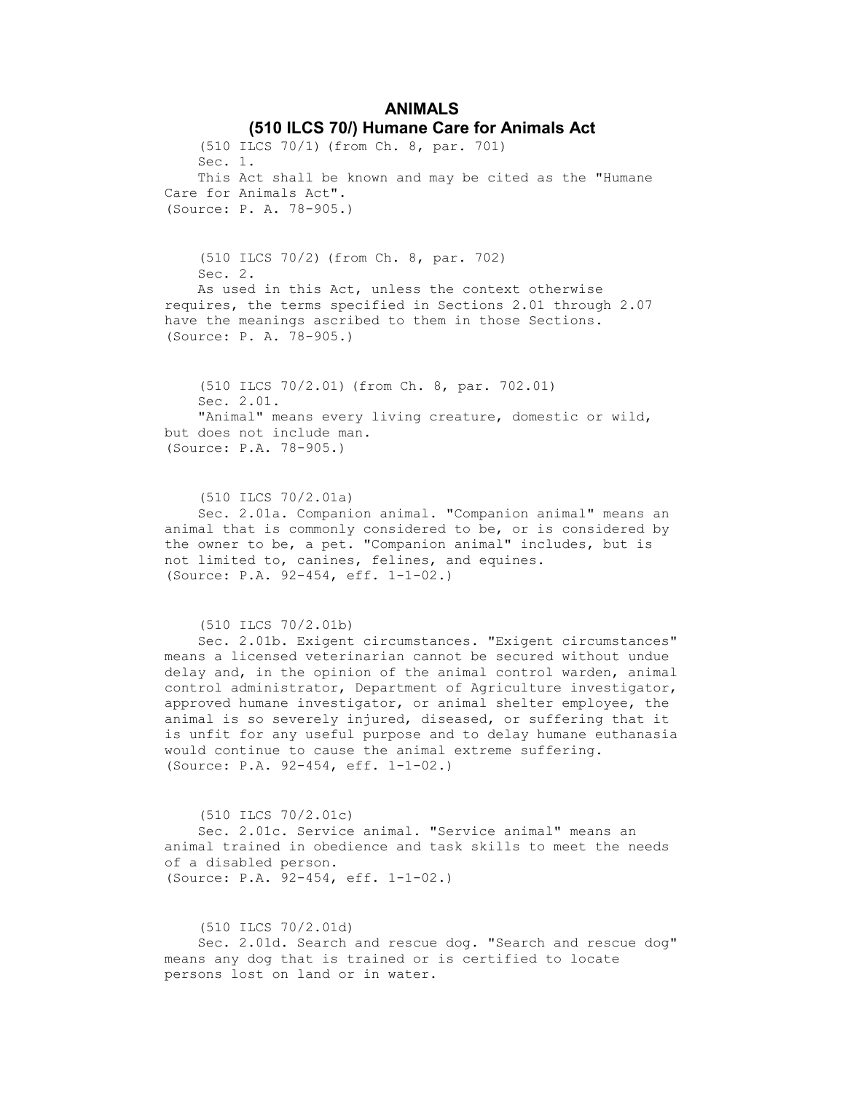# ANIMALS (510 ILCS 70/) Humane Care for Animals Act

 (510 ILCS 70/1) (from Ch. 8, par. 701) Sec. 1. This Act shall be known and may be cited as the "Humane Care for Animals Act". (Source: P. A. 78-905.)

 (510 ILCS 70/2) (from Ch. 8, par. 702) Sec. 2. As used in this Act, unless the context otherwise requires, the terms specified in Sections 2.01 through 2.07 have the meanings ascribed to them in those Sections. (Source: P. A. 78-905.)

 (510 ILCS 70/2.01) (from Ch. 8, par. 702.01) Sec. 2.01. "Animal" means every living creature, domestic or wild, but does not include man. (Source: P.A. 78-905.)

 (510 ILCS 70/2.01a) Sec. 2.01a. Companion animal. "Companion animal" means an animal that is commonly considered to be, or is considered by the owner to be, a pet. "Companion animal" includes, but is not limited to, canines, felines, and equines. (Source: P.A. 92-454, eff. 1-1-02.)

(510 ILCS 70/2.01b)

 Sec. 2.01b. Exigent circumstances. "Exigent circumstances" means a licensed veterinarian cannot be secured without undue delay and, in the opinion of the animal control warden, animal control administrator, Department of Agriculture investigator, approved humane investigator, or animal shelter employee, the animal is so severely injured, diseased, or suffering that it is unfit for any useful purpose and to delay humane euthanasia would continue to cause the animal extreme suffering. (Source: P.A. 92-454, eff. 1-1-02.)

 (510 ILCS 70/2.01c) Sec. 2.01c. Service animal. "Service animal" means an animal trained in obedience and task skills to meet the needs of a disabled person. (Source: P.A. 92-454, eff. 1-1-02.)

(510 ILCS 70/2.01d)

 Sec. 2.01d. Search and rescue dog. "Search and rescue dog" means any dog that is trained or is certified to locate persons lost on land or in water.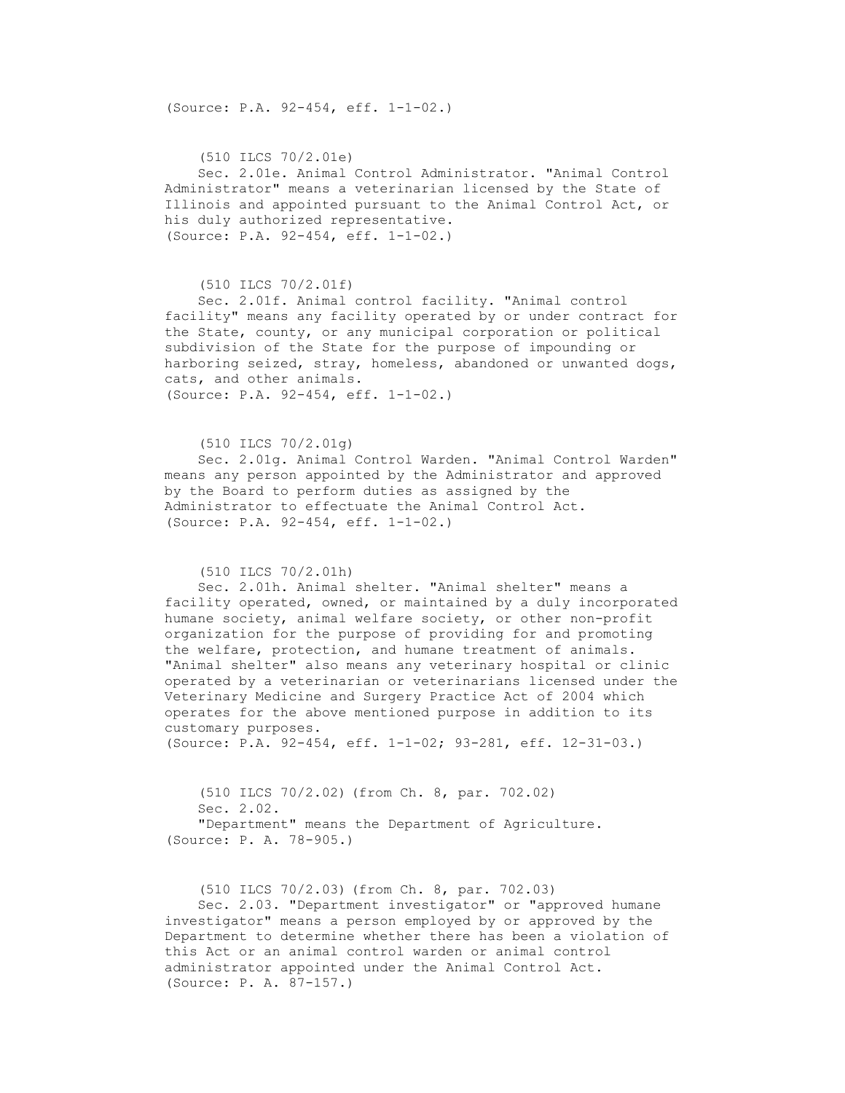(Source: P.A. 92-454, eff. 1-1-02.)

 (510 ILCS 70/2.01e) Sec. 2.01e. Animal Control Administrator. "Animal Control Administrator" means a veterinarian licensed by the State of Illinois and appointed pursuant to the Animal Control Act, or his duly authorized representative. (Source: P.A. 92-454, eff. 1-1-02.)

### (510 ILCS 70/2.01f)

 Sec. 2.01f. Animal control facility. "Animal control facility" means any facility operated by or under contract for the State, county, or any municipal corporation or political subdivision of the State for the purpose of impounding or harboring seized, stray, homeless, abandoned or unwanted dogs, cats, and other animals. (Source: P.A. 92-454, eff. 1-1-02.)

### (510 ILCS 70/2.01g)

 Sec. 2.01g. Animal Control Warden. "Animal Control Warden" means any person appointed by the Administrator and approved by the Board to perform duties as assigned by the Administrator to effectuate the Animal Control Act. (Source: P.A. 92-454, eff. 1-1-02.)

### (510 ILCS 70/2.01h)

 Sec. 2.01h. Animal shelter. "Animal shelter" means a facility operated, owned, or maintained by a duly incorporated humane society, animal welfare society, or other non-profit organization for the purpose of providing for and promoting the welfare, protection, and humane treatment of animals. "Animal shelter" also means any veterinary hospital or clinic operated by a veterinarian or veterinarians licensed under the Veterinary Medicine and Surgery Practice Act of 2004 which operates for the above mentioned purpose in addition to its customary purposes. (Source: P.A. 92-454, eff. 1-1-02; 93-281, eff. 12-31-03.)

 (510 ILCS 70/2.02) (from Ch. 8, par. 702.02) Sec. 2.02. "Department" means the Department of Agriculture. (Source: P. A. 78-905.)

 (510 ILCS 70/2.03) (from Ch. 8, par. 702.03) Sec. 2.03. "Department investigator" or "approved humane investigator" means a person employed by or approved by the Department to determine whether there has been a violation of this Act or an animal control warden or animal control administrator appointed under the Animal Control Act. (Source: P. A. 87-157.)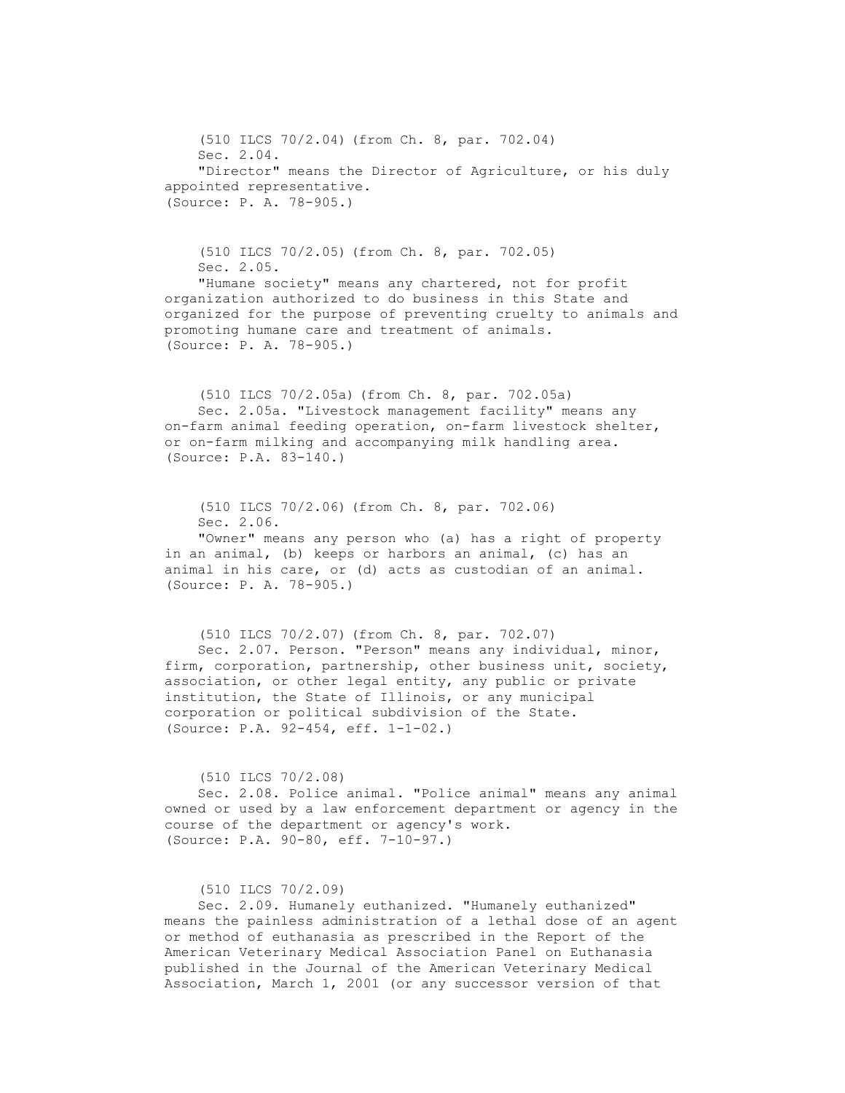(510 ILCS 70/2.04) (from Ch. 8, par. 702.04) Sec. 2.04. "Director" means the Director of Agriculture, or his duly appointed representative. (Source: P. A. 78-905.)

 (510 ILCS 70/2.05) (from Ch. 8, par. 702.05) Sec. 2.05. "Humane society" means any chartered, not for profit organization authorized to do business in this State and organized for the purpose of preventing cruelty to animals and promoting humane care and treatment of animals. (Source: P. A. 78-905.)

 (510 ILCS 70/2.05a) (from Ch. 8, par. 702.05a) Sec. 2.05a. "Livestock management facility" means any on-farm animal feeding operation, on-farm livestock shelter, or on-farm milking and accompanying milk handling area. (Source: P.A. 83-140.)

 (510 ILCS 70/2.06) (from Ch. 8, par. 702.06) Sec. 2.06. "Owner" means any person who (a) has a right of property in an animal, (b) keeps or harbors an animal, (c) has an animal in his care, or (d) acts as custodian of an animal. (Source: P. A. 78-905.)

 (510 ILCS 70/2.07) (from Ch. 8, par. 702.07) Sec. 2.07. Person. "Person" means any individual, minor, firm, corporation, partnership, other business unit, society, association, or other legal entity, any public or private institution, the State of Illinois, or any municipal corporation or political subdivision of the State. (Source: P.A. 92-454, eff. 1-1-02.)

(510 ILCS 70/2.08)

 Sec. 2.08. Police animal. "Police animal" means any animal owned or used by a law enforcement department or agency in the course of the department or agency's work. (Source: P.A. 90-80, eff. 7-10-97.)

(510 ILCS 70/2.09)

 Sec. 2.09. Humanely euthanized. "Humanely euthanized" means the painless administration of a lethal dose of an agent or method of euthanasia as prescribed in the Report of the American Veterinary Medical Association Panel on Euthanasia published in the Journal of the American Veterinary Medical Association, March 1, 2001 (or any successor version of that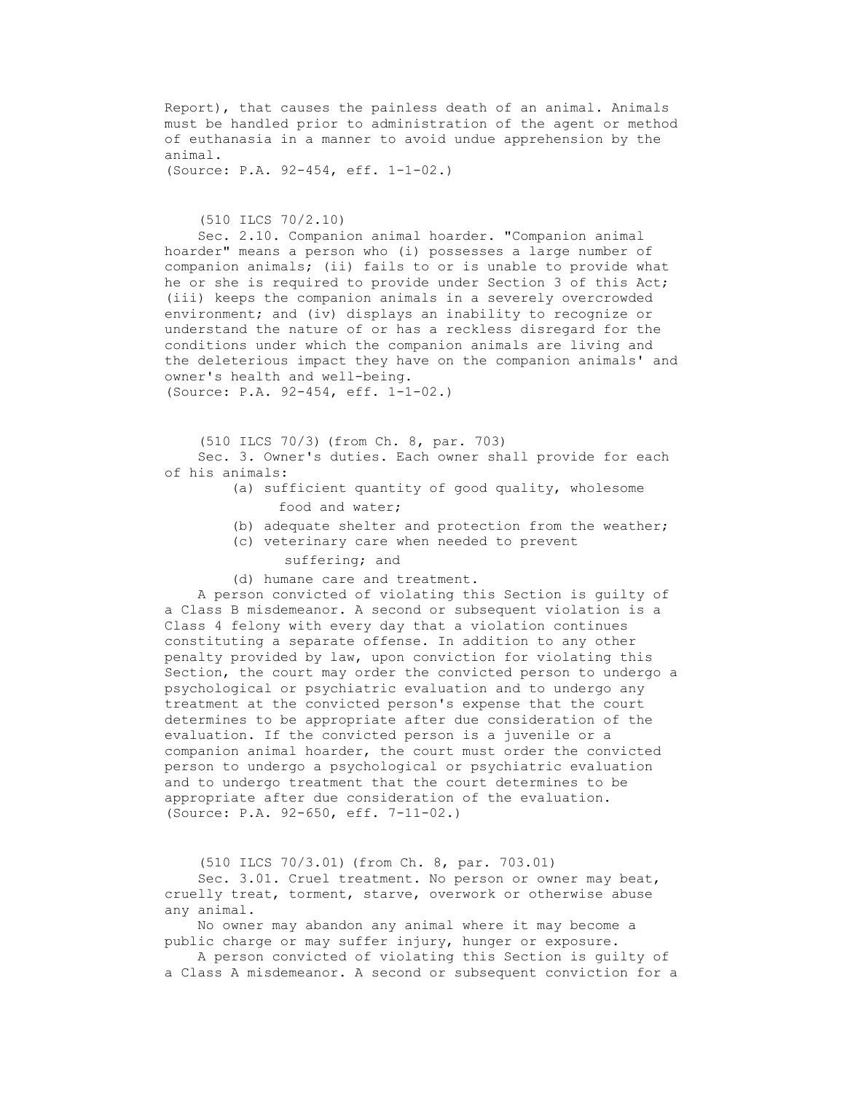Report), that causes the painless death of an animal. Animals must be handled prior to administration of the agent or method of euthanasia in a manner to avoid undue apprehension by the animal.

(Source: P.A. 92-454, eff. 1-1-02.)

# (510 ILCS 70/2.10)

 Sec. 2.10. Companion animal hoarder. "Companion animal hoarder" means a person who (i) possesses a large number of companion animals; (ii) fails to or is unable to provide what he or she is required to provide under Section 3 of this Act; (iii) keeps the companion animals in a severely overcrowded environment; and (iv) displays an inability to recognize or understand the nature of or has a reckless disregard for the conditions under which the companion animals are living and the deleterious impact they have on the companion animals' and owner's health and well-being. (Source: P.A. 92-454, eff. 1-1-02.)

(510 ILCS 70/3) (from Ch. 8, par. 703)

 Sec. 3. Owner's duties. Each owner shall provide for each of his animals:

- (a) sufficient quantity of good quality, wholesome food and water;
- (b) adequate shelter and protection from the weather;
- (c) veterinary care when needed to prevent suffering; and
- (d) humane care and treatment.

 A person convicted of violating this Section is guilty of a Class B misdemeanor. A second or subsequent violation is a Class 4 felony with every day that a violation continues constituting a separate offense. In addition to any other penalty provided by law, upon conviction for violating this Section, the court may order the convicted person to undergo a psychological or psychiatric evaluation and to undergo any treatment at the convicted person's expense that the court determines to be appropriate after due consideration of the evaluation. If the convicted person is a juvenile or a companion animal hoarder, the court must order the convicted person to undergo a psychological or psychiatric evaluation and to undergo treatment that the court determines to be appropriate after due consideration of the evaluation. (Source: P.A. 92-650, eff. 7-11-02.)

(510 ILCS 70/3.01) (from Ch. 8, par. 703.01)

 Sec. 3.01. Cruel treatment. No person or owner may beat, cruelly treat, torment, starve, overwork or otherwise abuse any animal.

 No owner may abandon any animal where it may become a public charge or may suffer injury, hunger or exposure.

 A person convicted of violating this Section is guilty of a Class A misdemeanor. A second or subsequent conviction for a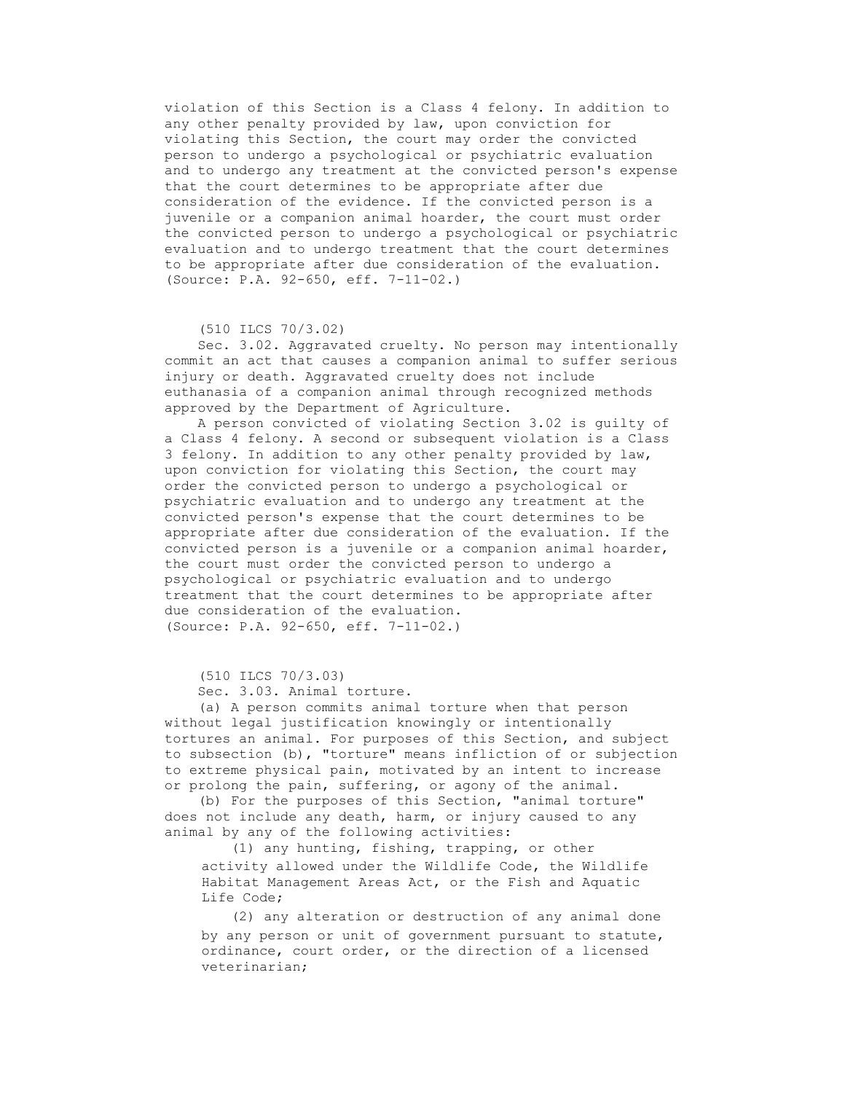violation of this Section is a Class 4 felony. In addition to any other penalty provided by law, upon conviction for violating this Section, the court may order the convicted person to undergo a psychological or psychiatric evaluation and to undergo any treatment at the convicted person's expense that the court determines to be appropriate after due consideration of the evidence. If the convicted person is a juvenile or a companion animal hoarder, the court must order the convicted person to undergo a psychological or psychiatric evaluation and to undergo treatment that the court determines to be appropriate after due consideration of the evaluation. (Source: P.A. 92-650, eff. 7-11-02.)

#### (510 ILCS 70/3.02)

 Sec. 3.02. Aggravated cruelty. No person may intentionally commit an act that causes a companion animal to suffer serious injury or death. Aggravated cruelty does not include euthanasia of a companion animal through recognized methods approved by the Department of Agriculture.

 A person convicted of violating Section 3.02 is guilty of a Class 4 felony. A second or subsequent violation is a Class 3 felony. In addition to any other penalty provided by law, upon conviction for violating this Section, the court may order the convicted person to undergo a psychological or psychiatric evaluation and to undergo any treatment at the convicted person's expense that the court determines to be appropriate after due consideration of the evaluation. If the convicted person is a juvenile or a companion animal hoarder, the court must order the convicted person to undergo a psychological or psychiatric evaluation and to undergo treatment that the court determines to be appropriate after due consideration of the evaluation. (Source: P.A. 92-650, eff. 7-11-02.)

(510 ILCS 70/3.03)

Sec. 3.03. Animal torture.

 (a) A person commits animal torture when that person without legal justification knowingly or intentionally tortures an animal. For purposes of this Section, and subject to subsection (b), "torture" means infliction of or subjection to extreme physical pain, motivated by an intent to increase or prolong the pain, suffering, or agony of the animal.

 (b) For the purposes of this Section, "animal torture" does not include any death, harm, or injury caused to any animal by any of the following activities:

 (1) any hunting, fishing, trapping, or other activity allowed under the Wildlife Code, the Wildlife Habitat Management Areas Act, or the Fish and Aquatic Life Code;

 (2) any alteration or destruction of any animal done by any person or unit of government pursuant to statute, ordinance, court order, or the direction of a licensed veterinarian;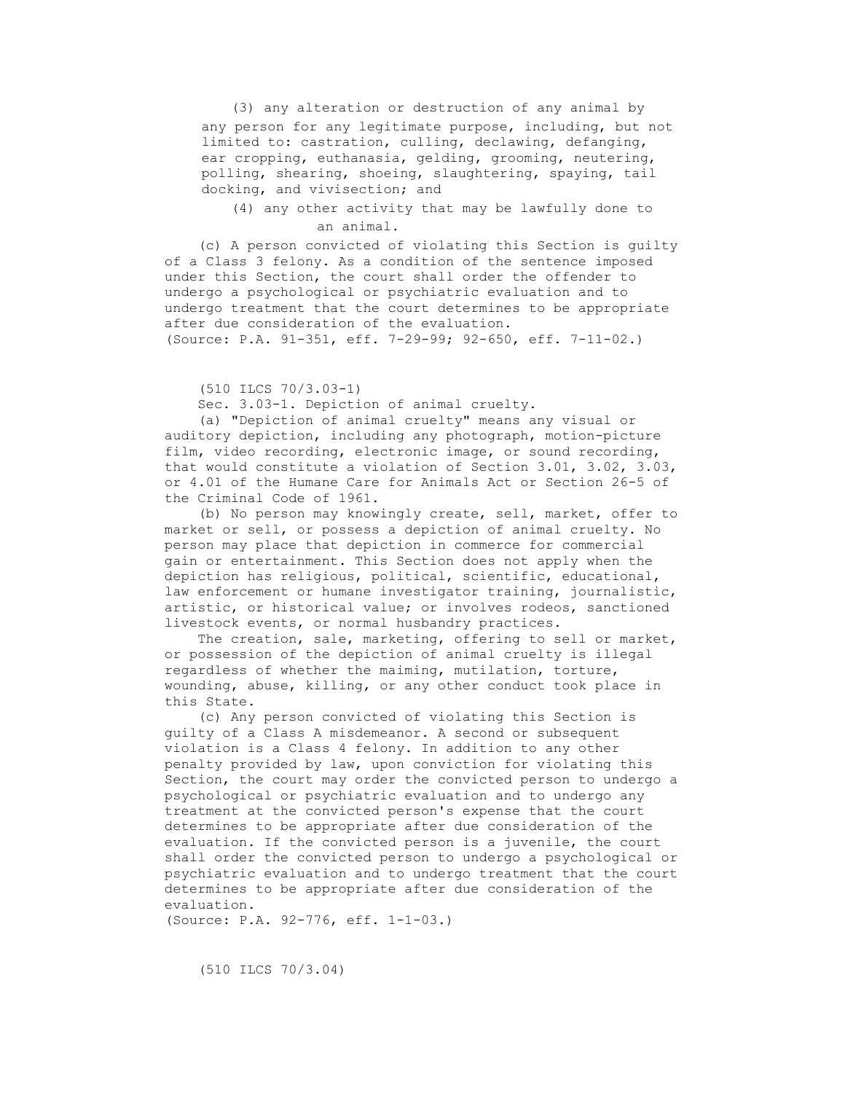(3) any alteration or destruction of any animal by any person for any legitimate purpose, including, but not limited to: castration, culling, declawing, defanging, ear cropping, euthanasia, gelding, grooming, neutering, polling, shearing, shoeing, slaughtering, spaying, tail docking, and vivisection; and

 (4) any other activity that may be lawfully done to an animal.

 (c) A person convicted of violating this Section is guilty of a Class 3 felony. As a condition of the sentence imposed under this Section, the court shall order the offender to undergo a psychological or psychiatric evaluation and to undergo treatment that the court determines to be appropriate after due consideration of the evaluation. (Source: P.A. 91-351, eff. 7-29-99; 92-650, eff. 7-11-02.)

(510 ILCS 70/3.03-1)

Sec. 3.03-1. Depiction of animal cruelty.

 (a) "Depiction of animal cruelty" means any visual or auditory depiction, including any photograph, motion-picture film, video recording, electronic image, or sound recording, that would constitute a violation of Section 3.01, 3.02, 3.03, or 4.01 of the Humane Care for Animals Act or Section 26-5 of the Criminal Code of 1961.

 (b) No person may knowingly create, sell, market, offer to market or sell, or possess a depiction of animal cruelty. No person may place that depiction in commerce for commercial gain or entertainment. This Section does not apply when the depiction has religious, political, scientific, educational, law enforcement or humane investigator training, journalistic, artistic, or historical value; or involves rodeos, sanctioned livestock events, or normal husbandry practices.

 The creation, sale, marketing, offering to sell or market, or possession of the depiction of animal cruelty is illegal regardless of whether the maiming, mutilation, torture, wounding, abuse, killing, or any other conduct took place in this State.

 (c) Any person convicted of violating this Section is guilty of a Class A misdemeanor. A second or subsequent violation is a Class 4 felony. In addition to any other penalty provided by law, upon conviction for violating this Section, the court may order the convicted person to undergo a psychological or psychiatric evaluation and to undergo any treatment at the convicted person's expense that the court determines to be appropriate after due consideration of the evaluation. If the convicted person is a juvenile, the court shall order the convicted person to undergo a psychological or psychiatric evaluation and to undergo treatment that the court determines to be appropriate after due consideration of the evaluation.

(Source: P.A. 92-776, eff. 1-1-03.)

(510 ILCS 70/3.04)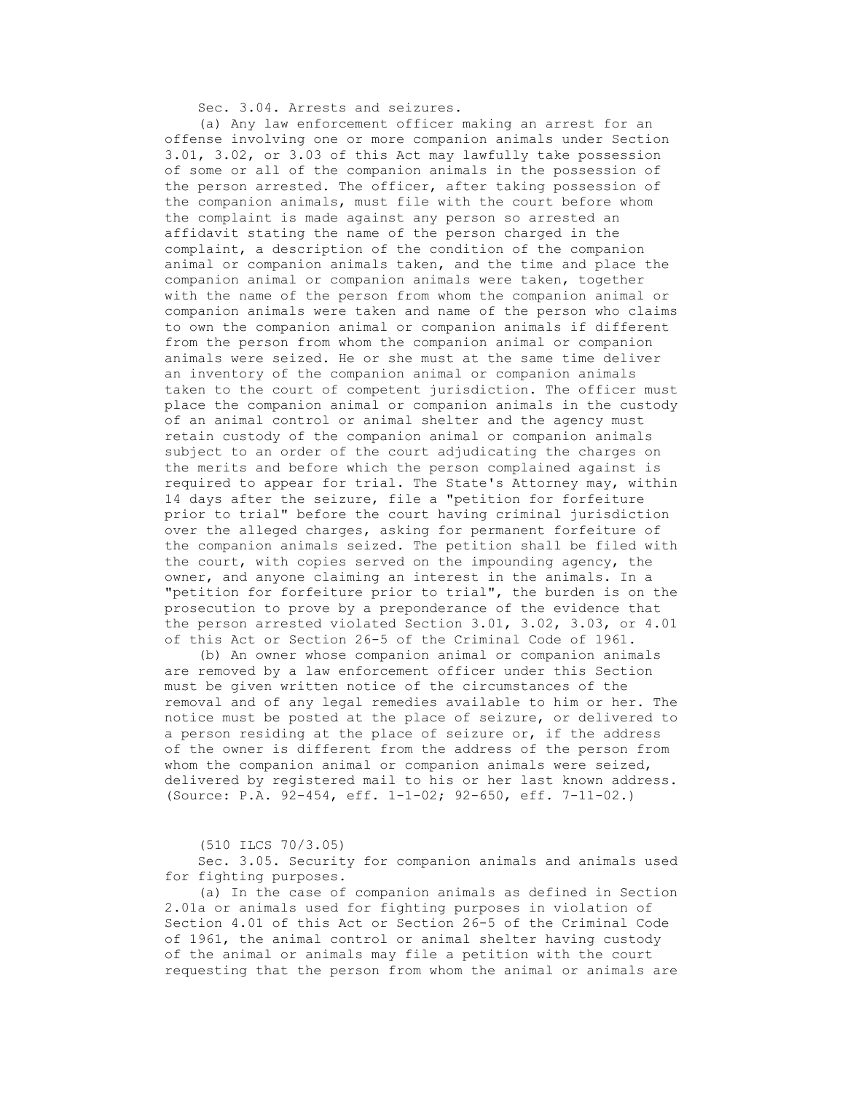Sec. 3.04. Arrests and seizures.

 (a) Any law enforcement officer making an arrest for an offense involving one or more companion animals under Section 3.01, 3.02, or 3.03 of this Act may lawfully take possession of some or all of the companion animals in the possession of the person arrested. The officer, after taking possession of the companion animals, must file with the court before whom the complaint is made against any person so arrested an affidavit stating the name of the person charged in the complaint, a description of the condition of the companion animal or companion animals taken, and the time and place the companion animal or companion animals were taken, together with the name of the person from whom the companion animal or companion animals were taken and name of the person who claims to own the companion animal or companion animals if different from the person from whom the companion animal or companion animals were seized. He or she must at the same time deliver an inventory of the companion animal or companion animals taken to the court of competent jurisdiction. The officer must place the companion animal or companion animals in the custody of an animal control or animal shelter and the agency must retain custody of the companion animal or companion animals subject to an order of the court adjudicating the charges on the merits and before which the person complained against is required to appear for trial. The State's Attorney may, within 14 days after the seizure, file a "petition for forfeiture prior to trial" before the court having criminal jurisdiction over the alleged charges, asking for permanent forfeiture of the companion animals seized. The petition shall be filed with the court, with copies served on the impounding agency, the owner, and anyone claiming an interest in the animals. In a "petition for forfeiture prior to trial", the burden is on the prosecution to prove by a preponderance of the evidence that the person arrested violated Section 3.01, 3.02, 3.03, or 4.01 of this Act or Section 26-5 of the Criminal Code of 1961.

 (b) An owner whose companion animal or companion animals are removed by a law enforcement officer under this Section must be given written notice of the circumstances of the removal and of any legal remedies available to him or her. The notice must be posted at the place of seizure, or delivered to a person residing at the place of seizure or, if the address of the owner is different from the address of the person from whom the companion animal or companion animals were seized, delivered by registered mail to his or her last known address. (Source: P.A. 92-454, eff. 1-1-02; 92-650, eff. 7-11-02.)

(510 ILCS 70/3.05)

 Sec. 3.05. Security for companion animals and animals used for fighting purposes.

 (a) In the case of companion animals as defined in Section 2.01a or animals used for fighting purposes in violation of Section 4.01 of this Act or Section 26-5 of the Criminal Code of 1961, the animal control or animal shelter having custody of the animal or animals may file a petition with the court requesting that the person from whom the animal or animals are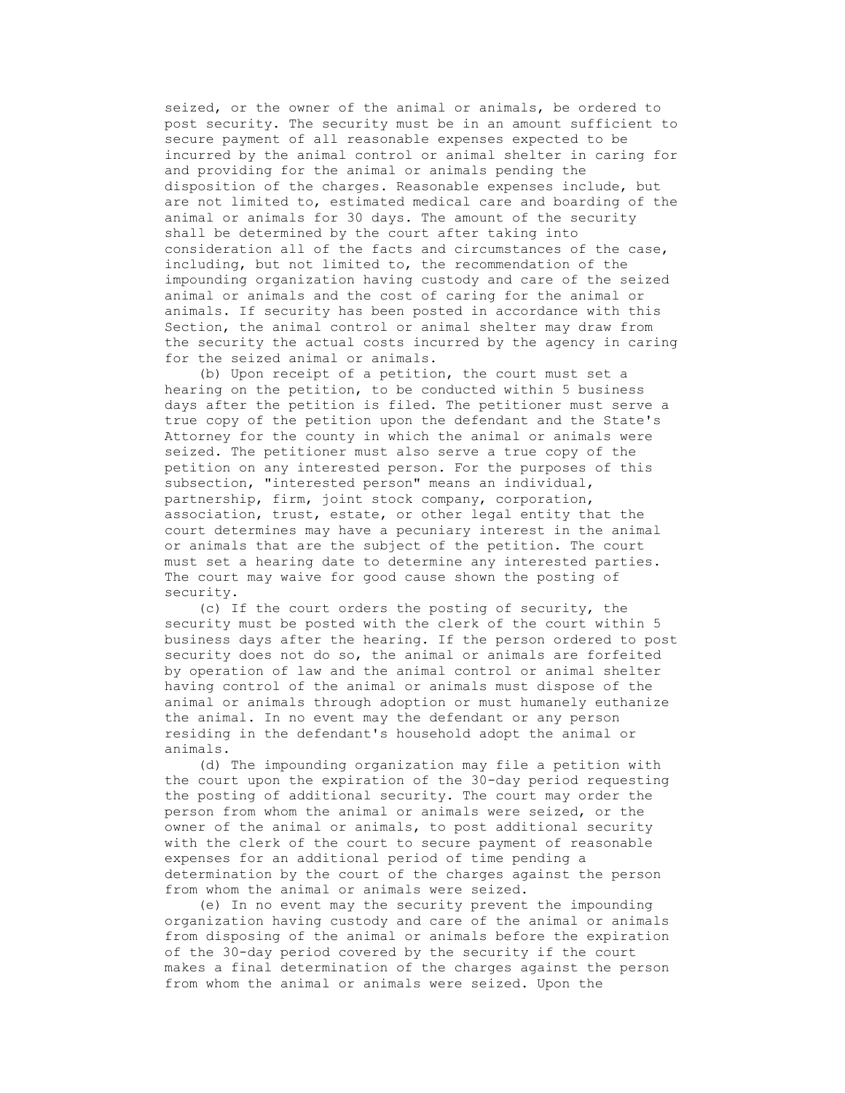seized, or the owner of the animal or animals, be ordered to post security. The security must be in an amount sufficient to secure payment of all reasonable expenses expected to be incurred by the animal control or animal shelter in caring for and providing for the animal or animals pending the disposition of the charges. Reasonable expenses include, but are not limited to, estimated medical care and boarding of the animal or animals for 30 days. The amount of the security shall be determined by the court after taking into consideration all of the facts and circumstances of the case, including, but not limited to, the recommendation of the impounding organization having custody and care of the seized animal or animals and the cost of caring for the animal or animals. If security has been posted in accordance with this Section, the animal control or animal shelter may draw from the security the actual costs incurred by the agency in caring for the seized animal or animals.

 (b) Upon receipt of a petition, the court must set a hearing on the petition, to be conducted within 5 business days after the petition is filed. The petitioner must serve a true copy of the petition upon the defendant and the State's Attorney for the county in which the animal or animals were seized. The petitioner must also serve a true copy of the petition on any interested person. For the purposes of this subsection, "interested person" means an individual, partnership, firm, joint stock company, corporation, association, trust, estate, or other legal entity that the court determines may have a pecuniary interest in the animal or animals that are the subject of the petition. The court must set a hearing date to determine any interested parties. The court may waive for good cause shown the posting of security.

 (c) If the court orders the posting of security, the security must be posted with the clerk of the court within 5 business days after the hearing. If the person ordered to post security does not do so, the animal or animals are forfeited by operation of law and the animal control or animal shelter having control of the animal or animals must dispose of the animal or animals through adoption or must humanely euthanize the animal. In no event may the defendant or any person residing in the defendant's household adopt the animal or animals.

 (d) The impounding organization may file a petition with the court upon the expiration of the 30-day period requesting the posting of additional security. The court may order the person from whom the animal or animals were seized, or the owner of the animal or animals, to post additional security with the clerk of the court to secure payment of reasonable expenses for an additional period of time pending a determination by the court of the charges against the person from whom the animal or animals were seized.

 (e) In no event may the security prevent the impounding organization having custody and care of the animal or animals from disposing of the animal or animals before the expiration of the 30-day period covered by the security if the court makes a final determination of the charges against the person from whom the animal or animals were seized. Upon the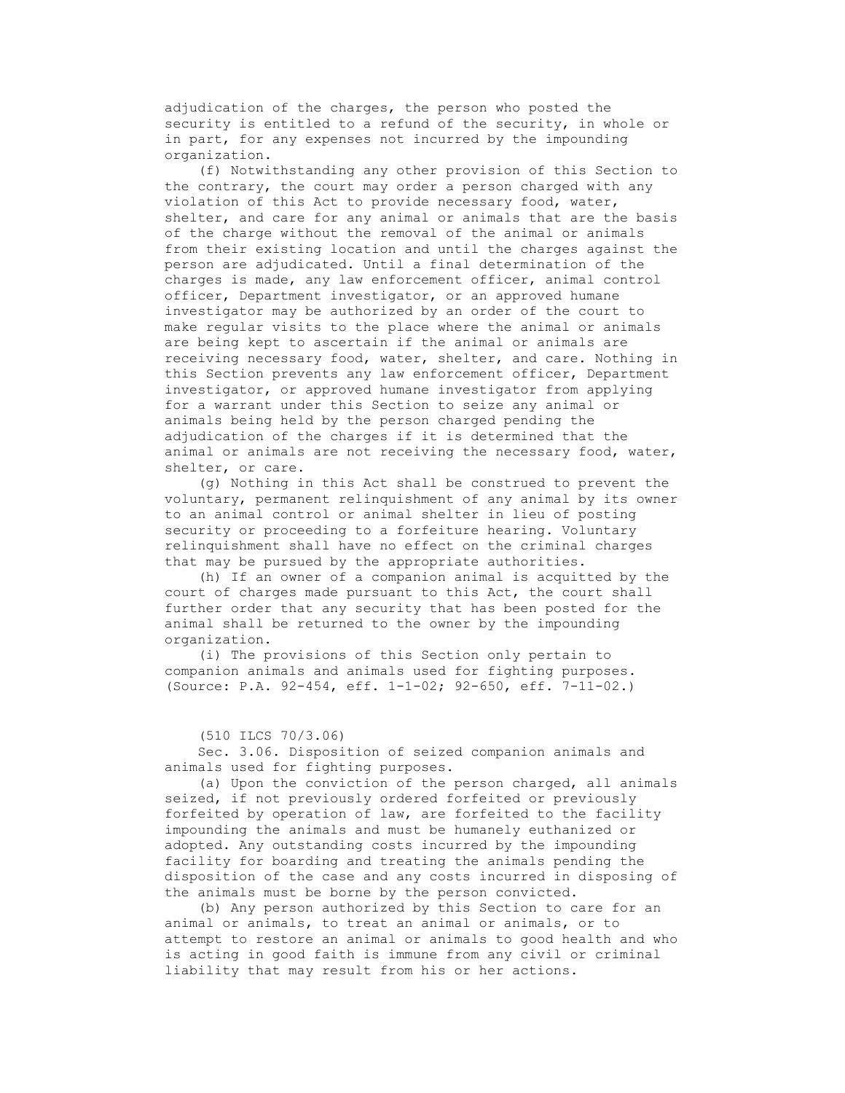adjudication of the charges, the person who posted the security is entitled to a refund of the security, in whole or in part, for any expenses not incurred by the impounding organization.

 (f) Notwithstanding any other provision of this Section to the contrary, the court may order a person charged with any violation of this Act to provide necessary food, water, shelter, and care for any animal or animals that are the basis of the charge without the removal of the animal or animals from their existing location and until the charges against the person are adjudicated. Until a final determination of the charges is made, any law enforcement officer, animal control officer, Department investigator, or an approved humane investigator may be authorized by an order of the court to make regular visits to the place where the animal or animals are being kept to ascertain if the animal or animals are receiving necessary food, water, shelter, and care. Nothing in this Section prevents any law enforcement officer, Department investigator, or approved humane investigator from applying for a warrant under this Section to seize any animal or animals being held by the person charged pending the adjudication of the charges if it is determined that the animal or animals are not receiving the necessary food, water, shelter, or care.

 (g) Nothing in this Act shall be construed to prevent the voluntary, permanent relinquishment of any animal by its owner to an animal control or animal shelter in lieu of posting security or proceeding to a forfeiture hearing. Voluntary relinquishment shall have no effect on the criminal charges that may be pursued by the appropriate authorities.

 (h) If an owner of a companion animal is acquitted by the court of charges made pursuant to this Act, the court shall further order that any security that has been posted for the animal shall be returned to the owner by the impounding organization.

 (i) The provisions of this Section only pertain to companion animals and animals used for fighting purposes. (Source: P.A. 92-454, eff. 1-1-02; 92-650, eff. 7-11-02.)

### (510 ILCS 70/3.06)

 Sec. 3.06. Disposition of seized companion animals and animals used for fighting purposes.

 (a) Upon the conviction of the person charged, all animals seized, if not previously ordered forfeited or previously forfeited by operation of law, are forfeited to the facility impounding the animals and must be humanely euthanized or adopted. Any outstanding costs incurred by the impounding facility for boarding and treating the animals pending the disposition of the case and any costs incurred in disposing of the animals must be borne by the person convicted.

 (b) Any person authorized by this Section to care for an animal or animals, to treat an animal or animals, or to attempt to restore an animal or animals to good health and who is acting in good faith is immune from any civil or criminal liability that may result from his or her actions.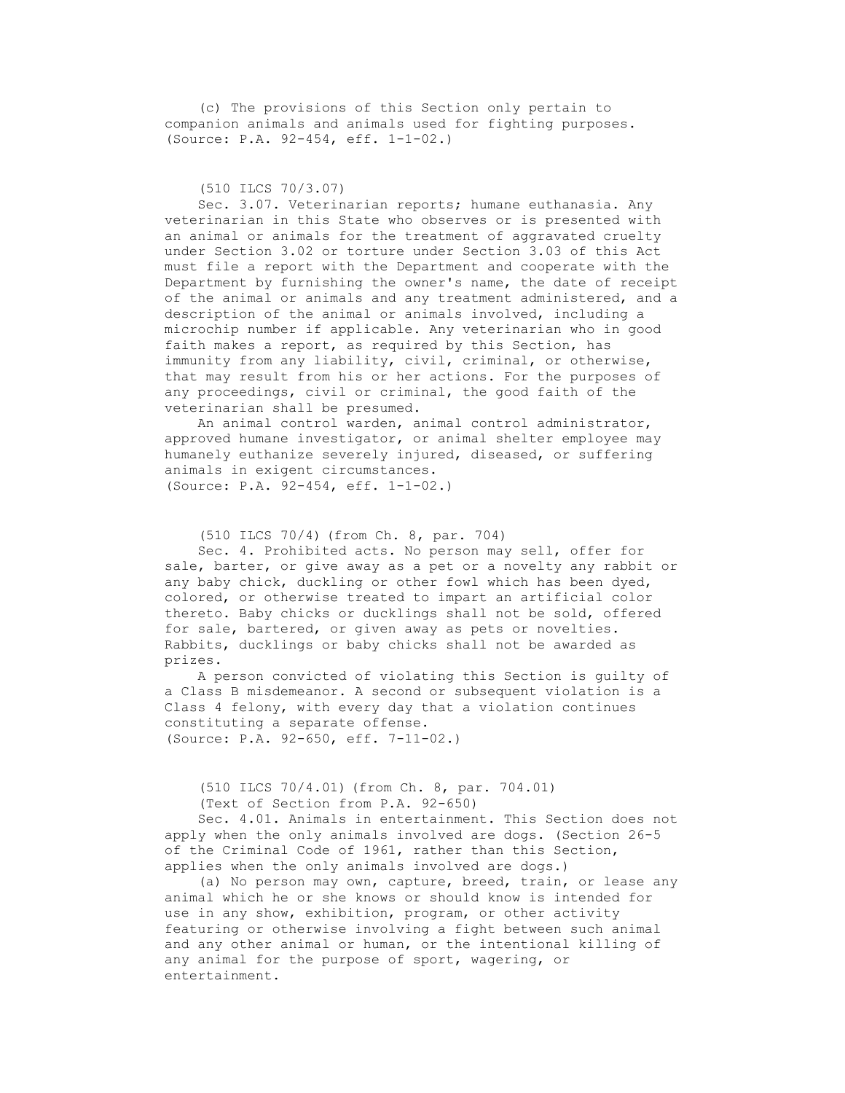(c) The provisions of this Section only pertain to companion animals and animals used for fighting purposes. (Source: P.A. 92-454, eff. 1-1-02.)

(510 ILCS 70/3.07)

 Sec. 3.07. Veterinarian reports; humane euthanasia. Any veterinarian in this State who observes or is presented with an animal or animals for the treatment of aggravated cruelty under Section 3.02 or torture under Section 3.03 of this Act must file a report with the Department and cooperate with the Department by furnishing the owner's name, the date of receipt of the animal or animals and any treatment administered, and a description of the animal or animals involved, including a microchip number if applicable. Any veterinarian who in good faith makes a report, as required by this Section, has immunity from any liability, civil, criminal, or otherwise, that may result from his or her actions. For the purposes of any proceedings, civil or criminal, the good faith of the veterinarian shall be presumed.

 An animal control warden, animal control administrator, approved humane investigator, or animal shelter employee may humanely euthanize severely injured, diseased, or suffering animals in exigent circumstances. (Source: P.A. 92-454, eff. 1-1-02.)

```
 (510 ILCS 70/4) (from Ch. 8, par. 704)
```
 Sec. 4. Prohibited acts. No person may sell, offer for sale, barter, or give away as a pet or a novelty any rabbit or any baby chick, duckling or other fowl which has been dyed, colored, or otherwise treated to impart an artificial color thereto. Baby chicks or ducklings shall not be sold, offered for sale, bartered, or given away as pets or novelties. Rabbits, ducklings or baby chicks shall not be awarded as prizes.

 A person convicted of violating this Section is guilty of a Class B misdemeanor. A second or subsequent violation is a Class 4 felony, with every day that a violation continues constituting a separate offense. (Source: P.A. 92-650, eff. 7-11-02.)

 (510 ILCS 70/4.01) (from Ch. 8, par. 704.01) (Text of Section from P.A. 92-650)

 Sec. 4.01. Animals in entertainment. This Section does not apply when the only animals involved are dogs. (Section 26-5 of the Criminal Code of 1961, rather than this Section, applies when the only animals involved are dogs.)

 (a) No person may own, capture, breed, train, or lease any animal which he or she knows or should know is intended for use in any show, exhibition, program, or other activity featuring or otherwise involving a fight between such animal and any other animal or human, or the intentional killing of any animal for the purpose of sport, wagering, or entertainment.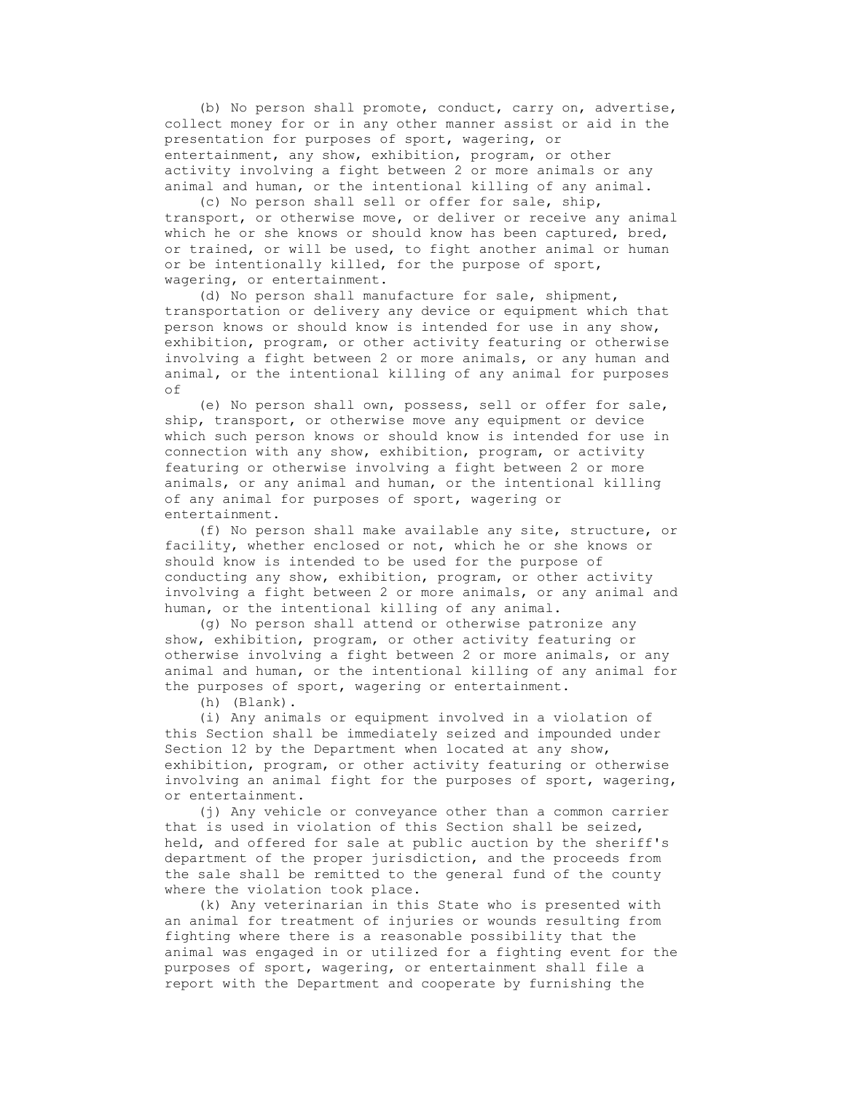(b) No person shall promote, conduct, carry on, advertise, collect money for or in any other manner assist or aid in the presentation for purposes of sport, wagering, or entertainment, any show, exhibition, program, or other activity involving a fight between 2 or more animals or any animal and human, or the intentional killing of any animal.

 (c) No person shall sell or offer for sale, ship, transport, or otherwise move, or deliver or receive any animal which he or she knows or should know has been captured, bred, or trained, or will be used, to fight another animal or human or be intentionally killed, for the purpose of sport, wagering, or entertainment.

 (d) No person shall manufacture for sale, shipment, transportation or delivery any device or equipment which that person knows or should know is intended for use in any show, exhibition, program, or other activity featuring or otherwise involving a fight between 2 or more animals, or any human and animal, or the intentional killing of any animal for purposes of

 (e) No person shall own, possess, sell or offer for sale, ship, transport, or otherwise move any equipment or device which such person knows or should know is intended for use in connection with any show, exhibition, program, or activity featuring or otherwise involving a fight between 2 or more animals, or any animal and human, or the intentional killing of any animal for purposes of sport, wagering or entertainment.

 (f) No person shall make available any site, structure, or facility, whether enclosed or not, which he or she knows or should know is intended to be used for the purpose of conducting any show, exhibition, program, or other activity involving a fight between 2 or more animals, or any animal and human, or the intentional killing of any animal.

 (g) No person shall attend or otherwise patronize any show, exhibition, program, or other activity featuring or otherwise involving a fight between 2 or more animals, or any animal and human, or the intentional killing of any animal for the purposes of sport, wagering or entertainment.

(h) (Blank).

 (i) Any animals or equipment involved in a violation of this Section shall be immediately seized and impounded under Section 12 by the Department when located at any show, exhibition, program, or other activity featuring or otherwise involving an animal fight for the purposes of sport, wagering, or entertainment.

 (j) Any vehicle or conveyance other than a common carrier that is used in violation of this Section shall be seized, held, and offered for sale at public auction by the sheriff's department of the proper jurisdiction, and the proceeds from the sale shall be remitted to the general fund of the county where the violation took place.

 (k) Any veterinarian in this State who is presented with an animal for treatment of injuries or wounds resulting from fighting where there is a reasonable possibility that the animal was engaged in or utilized for a fighting event for the purposes of sport, wagering, or entertainment shall file a report with the Department and cooperate by furnishing the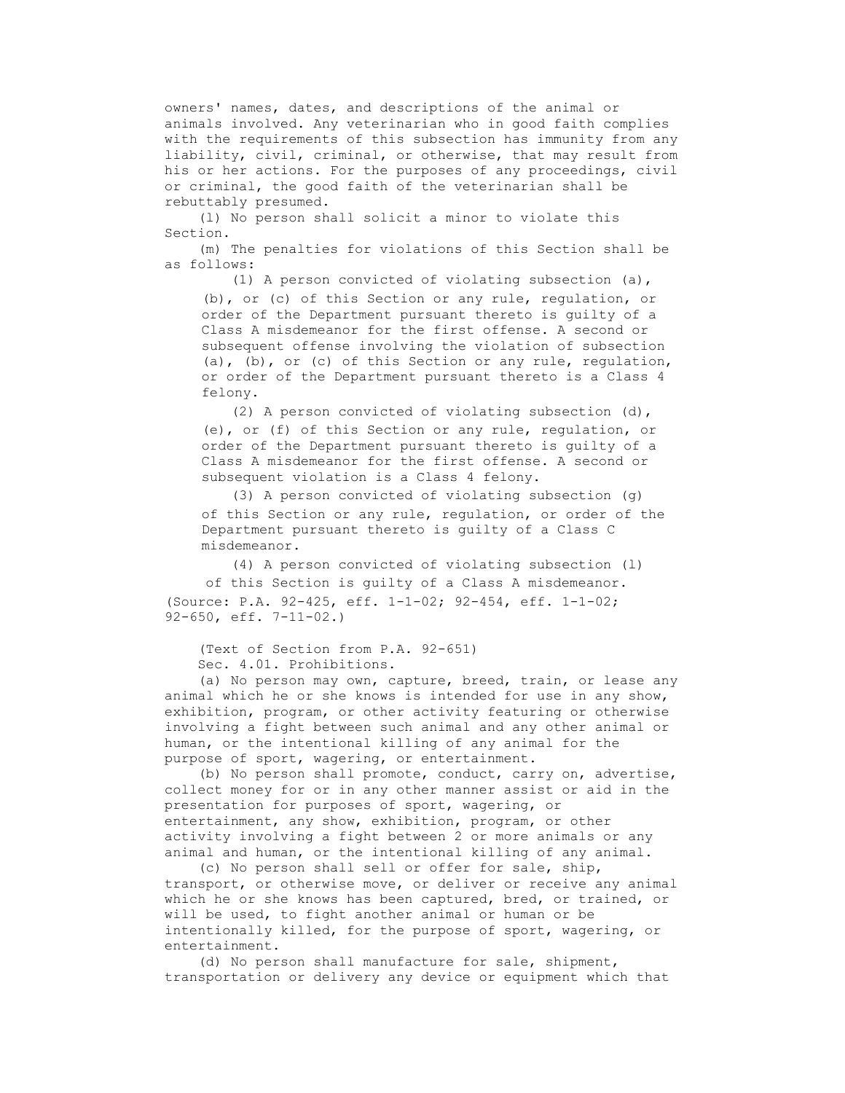owners' names, dates, and descriptions of the animal or animals involved. Any veterinarian who in good faith complies with the requirements of this subsection has immunity from any liability, civil, criminal, or otherwise, that may result from his or her actions. For the purposes of any proceedings, civil or criminal, the good faith of the veterinarian shall be rebuttably presumed.

 (l) No person shall solicit a minor to violate this Section.

 (m) The penalties for violations of this Section shall be as follows:

 (1) A person convicted of violating subsection (a), (b), or (c) of this Section or any rule, regulation, or order of the Department pursuant thereto is guilty of a Class A misdemeanor for the first offense. A second or subsequent offense involving the violation of subsection (a), (b), or (c) of this Section or any rule, regulation, or order of the Department pursuant thereto is a Class 4 felony.

 (2) A person convicted of violating subsection (d), (e), or (f) of this Section or any rule, regulation, or order of the Department pursuant thereto is guilty of a Class A misdemeanor for the first offense. A second or subsequent violation is a Class 4 felony.

 (3) A person convicted of violating subsection (g) of this Section or any rule, regulation, or order of the Department pursuant thereto is guilty of a Class C misdemeanor.

 (4) A person convicted of violating subsection (l) of this Section is guilty of a Class A misdemeanor. (Source: P.A. 92-425, eff. 1-1-02; 92-454, eff. 1-1-02; 92-650, eff. 7-11-02.)

 (Text of Section from P.A. 92-651) Sec. 4.01. Prohibitions.

 (a) No person may own, capture, breed, train, or lease any animal which he or she knows is intended for use in any show, exhibition, program, or other activity featuring or otherwise involving a fight between such animal and any other animal or human, or the intentional killing of any animal for the purpose of sport, wagering, or entertainment.

 (b) No person shall promote, conduct, carry on, advertise, collect money for or in any other manner assist or aid in the presentation for purposes of sport, wagering, or entertainment, any show, exhibition, program, or other activity involving a fight between 2 or more animals or any animal and human, or the intentional killing of any animal.

 (c) No person shall sell or offer for sale, ship, transport, or otherwise move, or deliver or receive any animal which he or she knows has been captured, bred, or trained, or will be used, to fight another animal or human or be intentionally killed, for the purpose of sport, wagering, or entertainment.

 (d) No person shall manufacture for sale, shipment, transportation or delivery any device or equipment which that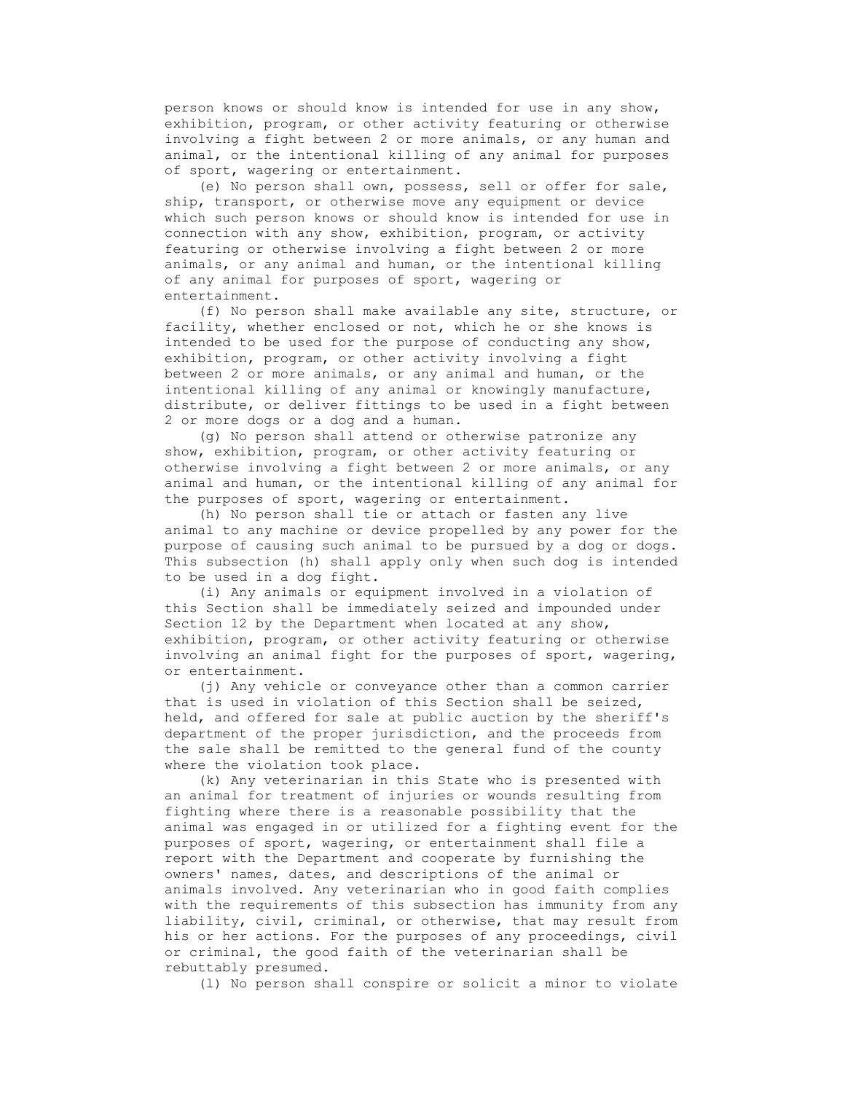person knows or should know is intended for use in any show, exhibition, program, or other activity featuring or otherwise involving a fight between 2 or more animals, or any human and animal, or the intentional killing of any animal for purposes of sport, wagering or entertainment.

 (e) No person shall own, possess, sell or offer for sale, ship, transport, or otherwise move any equipment or device which such person knows or should know is intended for use in connection with any show, exhibition, program, or activity featuring or otherwise involving a fight between 2 or more animals, or any animal and human, or the intentional killing of any animal for purposes of sport, wagering or entertainment.

 (f) No person shall make available any site, structure, or facility, whether enclosed or not, which he or she knows is intended to be used for the purpose of conducting any show, exhibition, program, or other activity involving a fight between 2 or more animals, or any animal and human, or the intentional killing of any animal or knowingly manufacture, distribute, or deliver fittings to be used in a fight between 2 or more dogs or a dog and a human.

 (g) No person shall attend or otherwise patronize any show, exhibition, program, or other activity featuring or otherwise involving a fight between 2 or more animals, or any animal and human, or the intentional killing of any animal for the purposes of sport, wagering or entertainment.

 (h) No person shall tie or attach or fasten any live animal to any machine or device propelled by any power for the purpose of causing such animal to be pursued by a dog or dogs. This subsection (h) shall apply only when such dog is intended to be used in a dog fight.

 (i) Any animals or equipment involved in a violation of this Section shall be immediately seized and impounded under Section 12 by the Department when located at any show, exhibition, program, or other activity featuring or otherwise involving an animal fight for the purposes of sport, wagering, or entertainment.

 (j) Any vehicle or conveyance other than a common carrier that is used in violation of this Section shall be seized, held, and offered for sale at public auction by the sheriff's department of the proper jurisdiction, and the proceeds from the sale shall be remitted to the general fund of the county where the violation took place.

 (k) Any veterinarian in this State who is presented with an animal for treatment of injuries or wounds resulting from fighting where there is a reasonable possibility that the animal was engaged in or utilized for a fighting event for the purposes of sport, wagering, or entertainment shall file a report with the Department and cooperate by furnishing the owners' names, dates, and descriptions of the animal or animals involved. Any veterinarian who in good faith complies with the requirements of this subsection has immunity from any liability, civil, criminal, or otherwise, that may result from his or her actions. For the purposes of any proceedings, civil or criminal, the good faith of the veterinarian shall be rebuttably presumed.

(l) No person shall conspire or solicit a minor to violate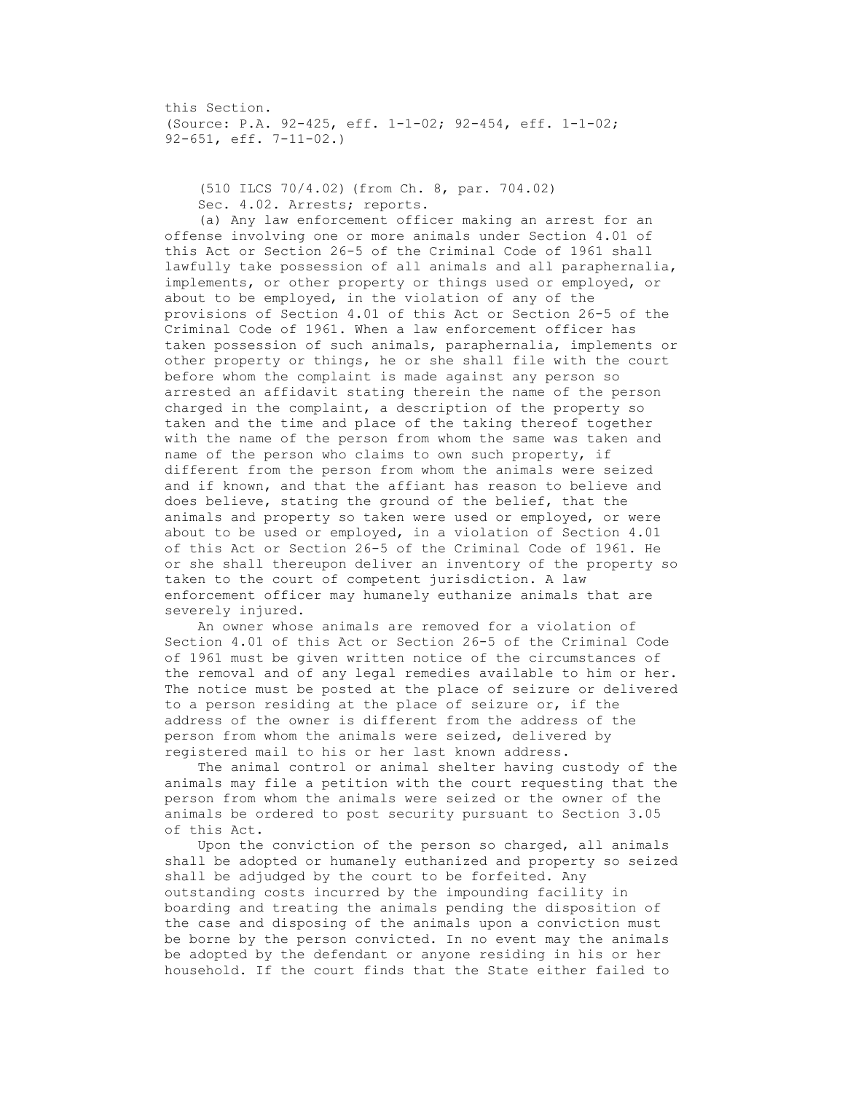this Section. (Source: P.A. 92-425, eff. 1-1-02; 92-454, eff. 1-1-02; 92-651, eff. 7-11-02.)

 (510 ILCS 70/4.02) (from Ch. 8, par. 704.02) Sec. 4.02. Arrests; reports.

 (a) Any law enforcement officer making an arrest for an offense involving one or more animals under Section 4.01 of this Act or Section 26-5 of the Criminal Code of 1961 shall lawfully take possession of all animals and all paraphernalia, implements, or other property or things used or employed, or about to be employed, in the violation of any of the provisions of Section 4.01 of this Act or Section 26-5 of the Criminal Code of 1961. When a law enforcement officer has taken possession of such animals, paraphernalia, implements or other property or things, he or she shall file with the court before whom the complaint is made against any person so arrested an affidavit stating therein the name of the person charged in the complaint, a description of the property so taken and the time and place of the taking thereof together with the name of the person from whom the same was taken and name of the person who claims to own such property, if different from the person from whom the animals were seized and if known, and that the affiant has reason to believe and does believe, stating the ground of the belief, that the animals and property so taken were used or employed, or were about to be used or employed, in a violation of Section 4.01 of this Act or Section 26-5 of the Criminal Code of 1961. He or she shall thereupon deliver an inventory of the property so taken to the court of competent jurisdiction. A law enforcement officer may humanely euthanize animals that are severely injured.

 An owner whose animals are removed for a violation of Section 4.01 of this Act or Section 26-5 of the Criminal Code of 1961 must be given written notice of the circumstances of the removal and of any legal remedies available to him or her. The notice must be posted at the place of seizure or delivered to a person residing at the place of seizure or, if the address of the owner is different from the address of the person from whom the animals were seized, delivered by registered mail to his or her last known address.

 The animal control or animal shelter having custody of the animals may file a petition with the court requesting that the person from whom the animals were seized or the owner of the animals be ordered to post security pursuant to Section 3.05 of this Act.

 Upon the conviction of the person so charged, all animals shall be adopted or humanely euthanized and property so seized shall be adjudged by the court to be forfeited. Any outstanding costs incurred by the impounding facility in boarding and treating the animals pending the disposition of the case and disposing of the animals upon a conviction must be borne by the person convicted. In no event may the animals be adopted by the defendant or anyone residing in his or her household. If the court finds that the State either failed to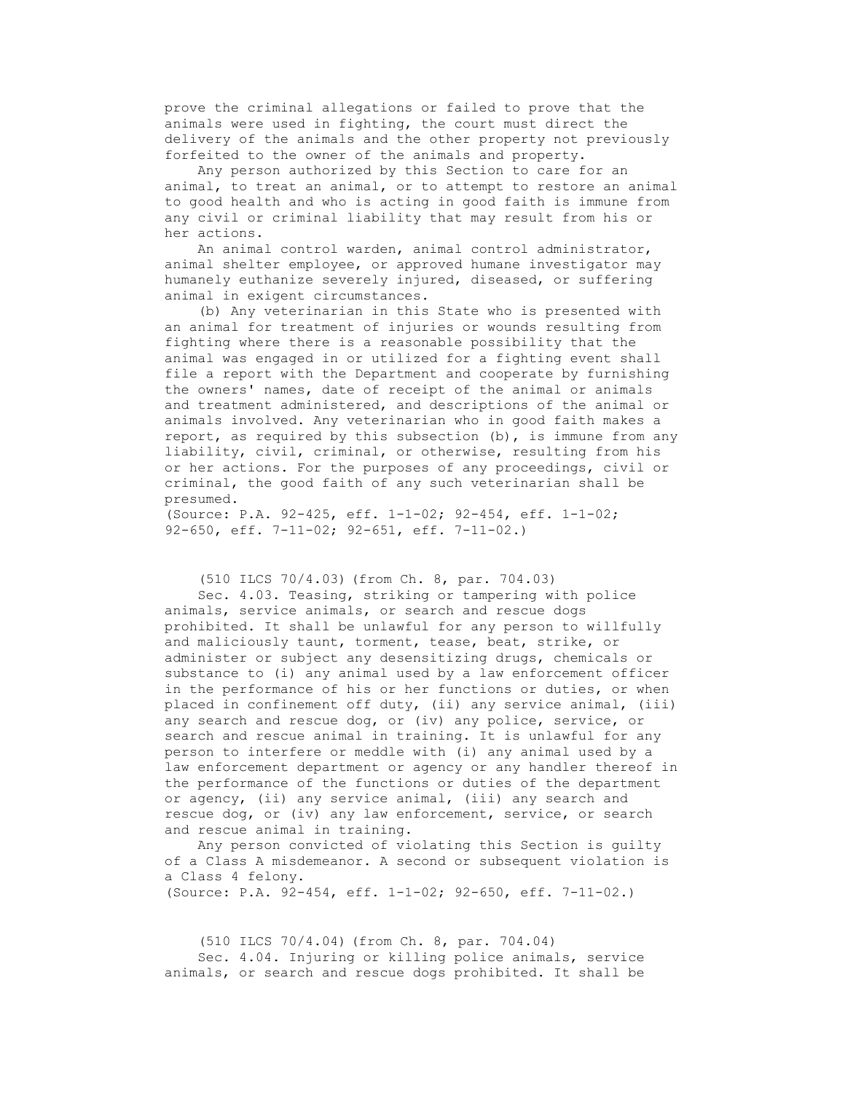prove the criminal allegations or failed to prove that the animals were used in fighting, the court must direct the delivery of the animals and the other property not previously forfeited to the owner of the animals and property.

 Any person authorized by this Section to care for an animal, to treat an animal, or to attempt to restore an animal to good health and who is acting in good faith is immune from any civil or criminal liability that may result from his or her actions.

 An animal control warden, animal control administrator, animal shelter employee, or approved humane investigator may humanely euthanize severely injured, diseased, or suffering animal in exigent circumstances.

 (b) Any veterinarian in this State who is presented with an animal for treatment of injuries or wounds resulting from fighting where there is a reasonable possibility that the animal was engaged in or utilized for a fighting event shall file a report with the Department and cooperate by furnishing the owners' names, date of receipt of the animal or animals and treatment administered, and descriptions of the animal or animals involved. Any veterinarian who in good faith makes a report, as required by this subsection  $(b)$ , is immune from any liability, civil, criminal, or otherwise, resulting from his or her actions. For the purposes of any proceedings, civil or criminal, the good faith of any such veterinarian shall be presumed.

(Source: P.A. 92-425, eff. 1-1-02; 92-454, eff. 1-1-02; 92-650, eff. 7-11-02; 92-651, eff. 7-11-02.)

(510 ILCS 70/4.03) (from Ch. 8, par. 704.03)

 Sec. 4.03. Teasing, striking or tampering with police animals, service animals, or search and rescue dogs prohibited. It shall be unlawful for any person to willfully and maliciously taunt, torment, tease, beat, strike, or administer or subject any desensitizing drugs, chemicals or substance to (i) any animal used by a law enforcement officer in the performance of his or her functions or duties, or when placed in confinement off duty, (ii) any service animal, (iii) any search and rescue dog, or (iv) any police, service, or search and rescue animal in training. It is unlawful for any person to interfere or meddle with (i) any animal used by a law enforcement department or agency or any handler thereof in the performance of the functions or duties of the department or agency, (ii) any service animal, (iii) any search and rescue dog, or (iv) any law enforcement, service, or search and rescue animal in training.

 Any person convicted of violating this Section is guilty of a Class A misdemeanor. A second or subsequent violation is a Class 4 felony.

(Source: P.A. 92-454, eff. 1-1-02; 92-650, eff. 7-11-02.)

 (510 ILCS 70/4.04) (from Ch. 8, par. 704.04) Sec. 4.04. Injuring or killing police animals, service animals, or search and rescue dogs prohibited. It shall be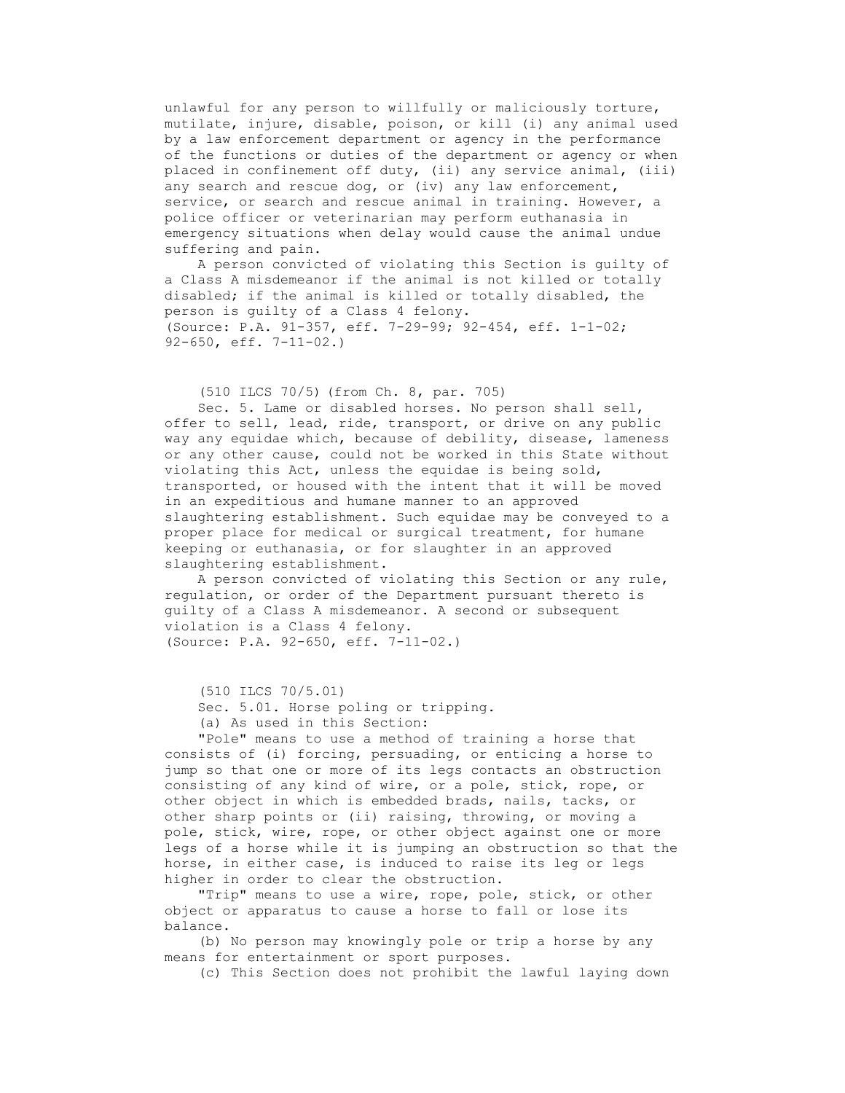unlawful for any person to willfully or maliciously torture, mutilate, injure, disable, poison, or kill (i) any animal used by a law enforcement department or agency in the performance of the functions or duties of the department or agency or when placed in confinement off duty, (ii) any service animal, (iii) any search and rescue dog, or (iv) any law enforcement, service, or search and rescue animal in training. However, a police officer or veterinarian may perform euthanasia in emergency situations when delay would cause the animal undue suffering and pain.

 A person convicted of violating this Section is guilty of a Class A misdemeanor if the animal is not killed or totally disabled; if the animal is killed or totally disabled, the person is guilty of a Class 4 felony. (Source: P.A. 91-357, eff. 7-29-99; 92-454, eff. 1-1-02; 92-650, eff. 7-11-02.)

(510 ILCS 70/5) (from Ch. 8, par. 705)

 Sec. 5. Lame or disabled horses. No person shall sell, offer to sell, lead, ride, transport, or drive on any public way any equidae which, because of debility, disease, lameness or any other cause, could not be worked in this State without violating this Act, unless the equidae is being sold, transported, or housed with the intent that it will be moved in an expeditious and humane manner to an approved slaughtering establishment. Such equidae may be conveyed to a proper place for medical or surgical treatment, for humane keeping or euthanasia, or for slaughter in an approved slaughtering establishment.

 A person convicted of violating this Section or any rule, regulation, or order of the Department pursuant thereto is guilty of a Class A misdemeanor. A second or subsequent violation is a Class 4 felony. (Source: P.A. 92-650, eff. 7-11-02.)

(510 ILCS 70/5.01)

 Sec. 5.01. Horse poling or tripping. (a) As used in this Section:

 "Pole" means to use a method of training a horse that consists of (i) forcing, persuading, or enticing a horse to jump so that one or more of its legs contacts an obstruction consisting of any kind of wire, or a pole, stick, rope, or other object in which is embedded brads, nails, tacks, or other sharp points or (ii) raising, throwing, or moving a pole, stick, wire, rope, or other object against one or more legs of a horse while it is jumping an obstruction so that the horse, in either case, is induced to raise its leg or legs higher in order to clear the obstruction.

 "Trip" means to use a wire, rope, pole, stick, or other object or apparatus to cause a horse to fall or lose its balance.

 (b) No person may knowingly pole or trip a horse by any means for entertainment or sport purposes.

(c) This Section does not prohibit the lawful laying down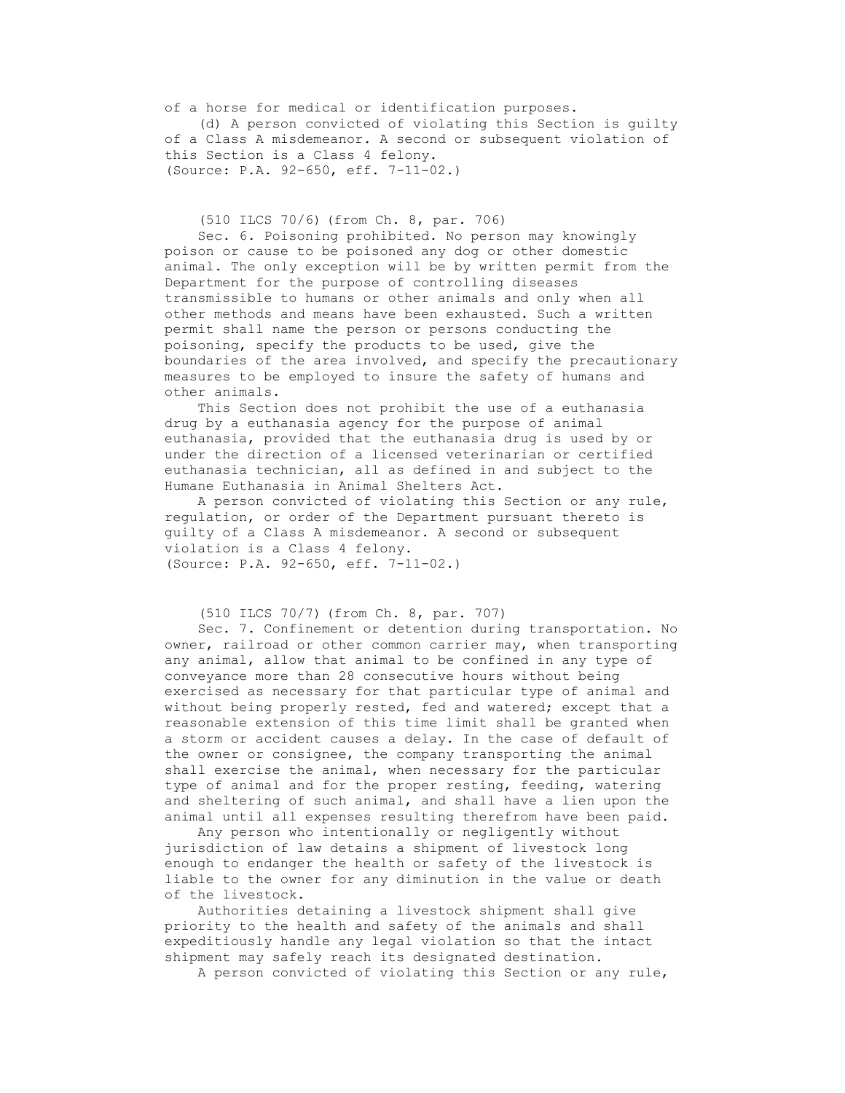of a horse for medical or identification purposes. (d) A person convicted of violating this Section is guilty of a Class A misdemeanor. A second or subsequent violation of this Section is a Class 4 felony. (Source: P.A. 92-650, eff. 7-11-02.)

(510 ILCS 70/6) (from Ch. 8, par. 706)

 Sec. 6. Poisoning prohibited. No person may knowingly poison or cause to be poisoned any dog or other domestic animal. The only exception will be by written permit from the Department for the purpose of controlling diseases transmissible to humans or other animals and only when all other methods and means have been exhausted. Such a written permit shall name the person or persons conducting the poisoning, specify the products to be used, give the boundaries of the area involved, and specify the precautionary measures to be employed to insure the safety of humans and other animals.

 This Section does not prohibit the use of a euthanasia drug by a euthanasia agency for the purpose of animal euthanasia, provided that the euthanasia drug is used by or under the direction of a licensed veterinarian or certified euthanasia technician, all as defined in and subject to the Humane Euthanasia in Animal Shelters Act.

 A person convicted of violating this Section or any rule, regulation, or order of the Department pursuant thereto is guilty of a Class A misdemeanor. A second or subsequent violation is a Class 4 felony. (Source: P.A. 92-650, eff. 7-11-02.)

```
 (510 ILCS 70/7) (from Ch. 8, par. 707)
```
 Sec. 7. Confinement or detention during transportation. No owner, railroad or other common carrier may, when transporting any animal, allow that animal to be confined in any type of conveyance more than 28 consecutive hours without being exercised as necessary for that particular type of animal and without being properly rested, fed and watered; except that a reasonable extension of this time limit shall be granted when a storm or accident causes a delay. In the case of default of the owner or consignee, the company transporting the animal shall exercise the animal, when necessary for the particular type of animal and for the proper resting, feeding, watering and sheltering of such animal, and shall have a lien upon the animal until all expenses resulting therefrom have been paid.

 Any person who intentionally or negligently without jurisdiction of law detains a shipment of livestock long enough to endanger the health or safety of the livestock is liable to the owner for any diminution in the value or death of the livestock.

 Authorities detaining a livestock shipment shall give priority to the health and safety of the animals and shall expeditiously handle any legal violation so that the intact shipment may safely reach its designated destination.

A person convicted of violating this Section or any rule,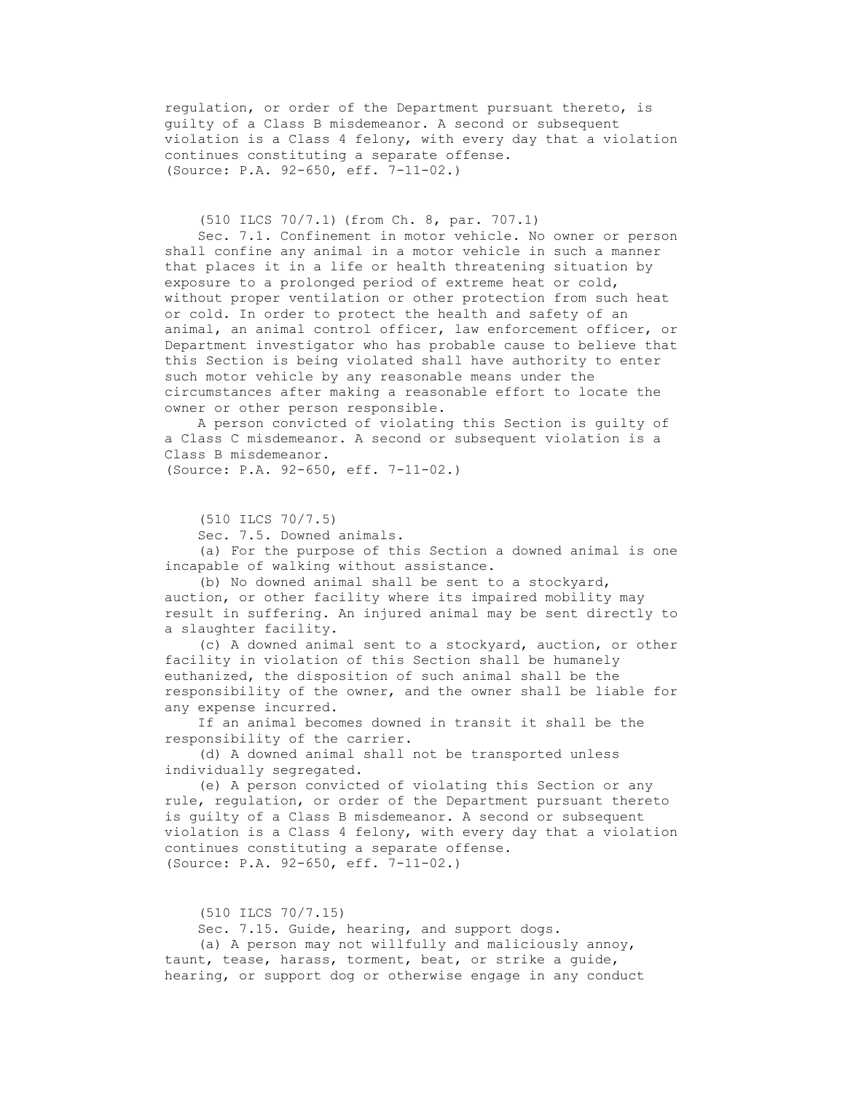regulation, or order of the Department pursuant thereto, is guilty of a Class B misdemeanor. A second or subsequent violation is a Class 4 felony, with every day that a violation continues constituting a separate offense. (Source: P.A. 92-650, eff. 7-11-02.)

(510 ILCS 70/7.1) (from Ch. 8, par. 707.1)

 Sec. 7.1. Confinement in motor vehicle. No owner or person shall confine any animal in a motor vehicle in such a manner that places it in a life or health threatening situation by exposure to a prolonged period of extreme heat or cold, without proper ventilation or other protection from such heat or cold. In order to protect the health and safety of an animal, an animal control officer, law enforcement officer, or Department investigator who has probable cause to believe that this Section is being violated shall have authority to enter such motor vehicle by any reasonable means under the circumstances after making a reasonable effort to locate the owner or other person responsible.

 A person convicted of violating this Section is guilty of a Class C misdemeanor. A second or subsequent violation is a Class B misdemeanor. (Source: P.A. 92-650, eff. 7-11-02.)

(510 ILCS 70/7.5)

Sec. 7.5. Downed animals.

 (a) For the purpose of this Section a downed animal is one incapable of walking without assistance.

 (b) No downed animal shall be sent to a stockyard, auction, or other facility where its impaired mobility may result in suffering. An injured animal may be sent directly to a slaughter facility.

 (c) A downed animal sent to a stockyard, auction, or other facility in violation of this Section shall be humanely euthanized, the disposition of such animal shall be the responsibility of the owner, and the owner shall be liable for any expense incurred.

 If an animal becomes downed in transit it shall be the responsibility of the carrier.

 (d) A downed animal shall not be transported unless individually segregated.

 (e) A person convicted of violating this Section or any rule, regulation, or order of the Department pursuant thereto is guilty of a Class B misdemeanor. A second or subsequent violation is a Class 4 felony, with every day that a violation continues constituting a separate offense. (Source: P.A. 92-650, eff. 7-11-02.)

(510 ILCS 70/7.15)

Sec. 7.15. Guide, hearing, and support dogs.

 (a) A person may not willfully and maliciously annoy, taunt, tease, harass, torment, beat, or strike a guide, hearing, or support dog or otherwise engage in any conduct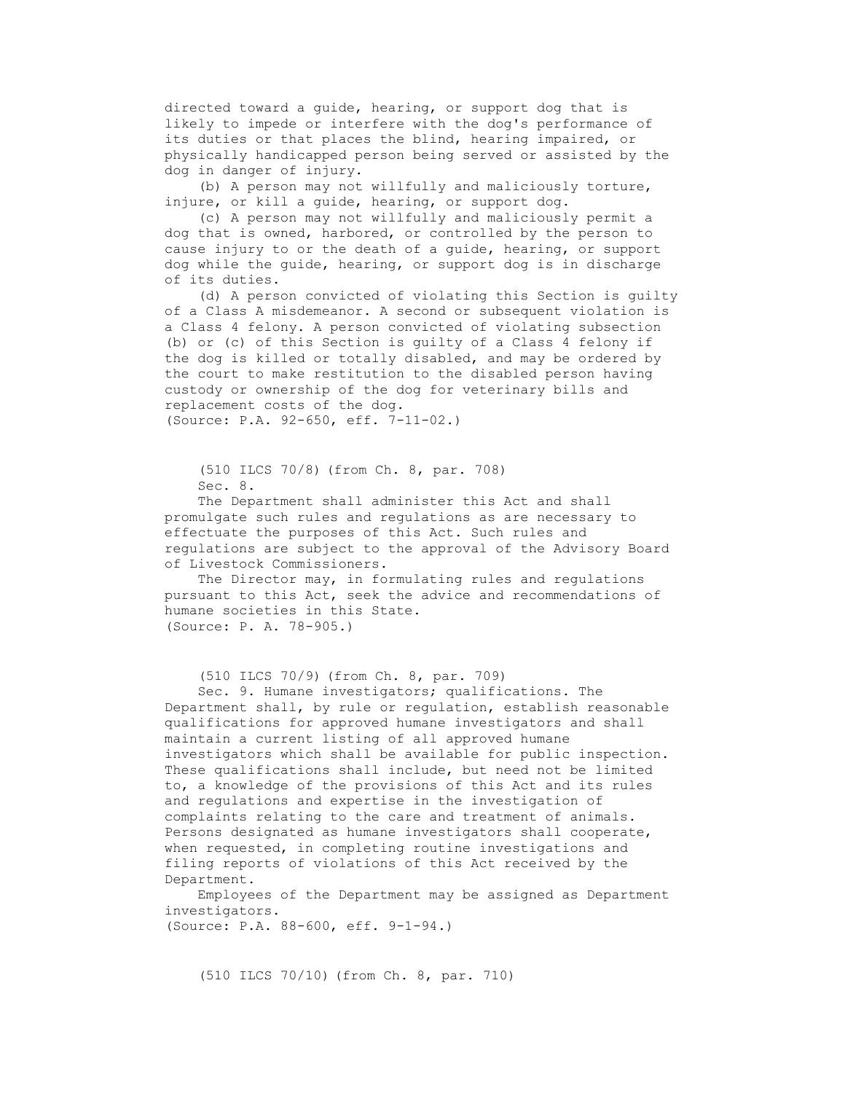directed toward a guide, hearing, or support dog that is likely to impede or interfere with the dog's performance of its duties or that places the blind, hearing impaired, or physically handicapped person being served or assisted by the dog in danger of injury.

 (b) A person may not willfully and maliciously torture, injure, or kill a guide, hearing, or support dog.

 (c) A person may not willfully and maliciously permit a dog that is owned, harbored, or controlled by the person to cause injury to or the death of a guide, hearing, or support dog while the guide, hearing, or support dog is in discharge of its duties.

 (d) A person convicted of violating this Section is guilty of a Class A misdemeanor. A second or subsequent violation is a Class 4 felony. A person convicted of violating subsection (b) or (c) of this Section is guilty of a Class 4 felony if the dog is killed or totally disabled, and may be ordered by the court to make restitution to the disabled person having custody or ownership of the dog for veterinary bills and replacement costs of the dog. (Source: P.A. 92-650, eff. 7-11-02.)

 (510 ILCS 70/8) (from Ch. 8, par. 708) Sec. 8.

 The Department shall administer this Act and shall promulgate such rules and regulations as are necessary to effectuate the purposes of this Act. Such rules and regulations are subject to the approval of the Advisory Board of Livestock Commissioners.

The Director may, in formulating rules and regulations pursuant to this Act, seek the advice and recommendations of humane societies in this State. (Source: P. A. 78-905.)

```
 (510 ILCS 70/9) (from Ch. 8, par. 709)
```
 Sec. 9. Humane investigators; qualifications. The Department shall, by rule or regulation, establish reasonable qualifications for approved humane investigators and shall maintain a current listing of all approved humane investigators which shall be available for public inspection. These qualifications shall include, but need not be limited to, a knowledge of the provisions of this Act and its rules and regulations and expertise in the investigation of complaints relating to the care and treatment of animals. Persons designated as humane investigators shall cooperate, when requested, in completing routine investigations and filing reports of violations of this Act received by the Department.

 Employees of the Department may be assigned as Department investigators. (Source: P.A. 88-600, eff. 9-1-94.)

(510 ILCS 70/10) (from Ch. 8, par. 710)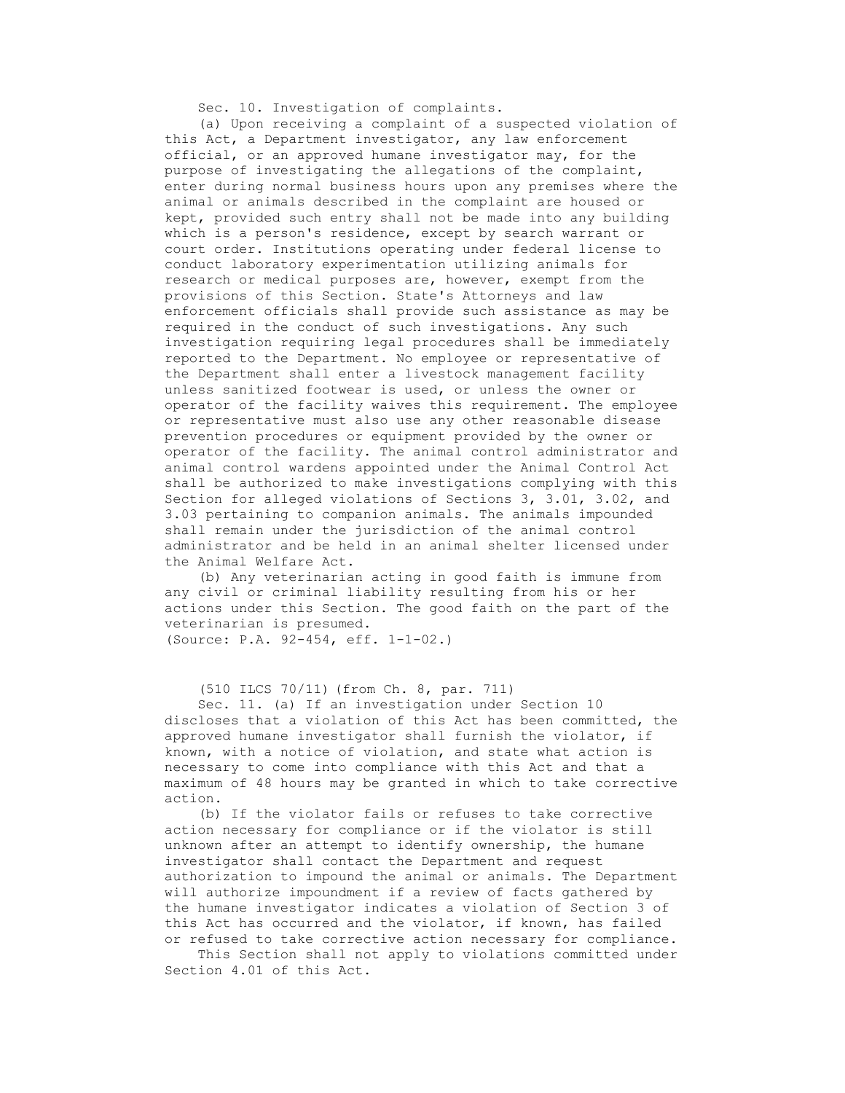Sec. 10. Investigation of complaints.

 (a) Upon receiving a complaint of a suspected violation of this Act, a Department investigator, any law enforcement official, or an approved humane investigator may, for the purpose of investigating the allegations of the complaint, enter during normal business hours upon any premises where the animal or animals described in the complaint are housed or kept, provided such entry shall not be made into any building which is a person's residence, except by search warrant or court order. Institutions operating under federal license to conduct laboratory experimentation utilizing animals for research or medical purposes are, however, exempt from the provisions of this Section. State's Attorneys and law enforcement officials shall provide such assistance as may be required in the conduct of such investigations. Any such investigation requiring legal procedures shall be immediately reported to the Department. No employee or representative of the Department shall enter a livestock management facility unless sanitized footwear is used, or unless the owner or operator of the facility waives this requirement. The employee or representative must also use any other reasonable disease prevention procedures or equipment provided by the owner or operator of the facility. The animal control administrator and animal control wardens appointed under the Animal Control Act shall be authorized to make investigations complying with this Section for alleged violations of Sections 3, 3.01, 3.02, and 3.03 pertaining to companion animals. The animals impounded shall remain under the jurisdiction of the animal control administrator and be held in an animal shelter licensed under the Animal Welfare Act.

 (b) Any veterinarian acting in good faith is immune from any civil or criminal liability resulting from his or her actions under this Section. The good faith on the part of the veterinarian is presumed. (Source: P.A. 92-454, eff. 1-1-02.)

(510 ILCS 70/11) (from Ch. 8, par. 711)

 Sec. 11. (a) If an investigation under Section 10 discloses that a violation of this Act has been committed, the approved humane investigator shall furnish the violator, if known, with a notice of violation, and state what action is necessary to come into compliance with this Act and that a maximum of 48 hours may be granted in which to take corrective action.

 (b) If the violator fails or refuses to take corrective action necessary for compliance or if the violator is still unknown after an attempt to identify ownership, the humane investigator shall contact the Department and request authorization to impound the animal or animals. The Department will authorize impoundment if a review of facts gathered by the humane investigator indicates a violation of Section 3 of this Act has occurred and the violator, if known, has failed or refused to take corrective action necessary for compliance.

 This Section shall not apply to violations committed under Section 4.01 of this Act.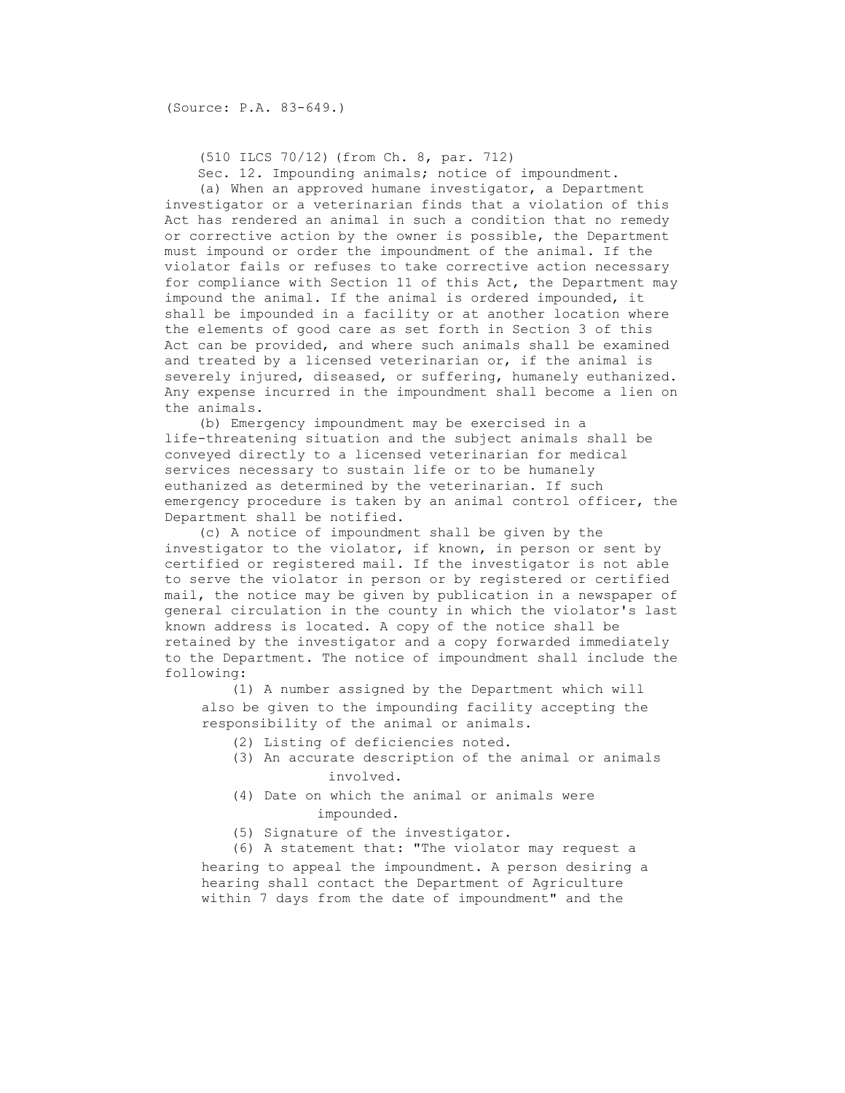(510 ILCS 70/12) (from Ch. 8, par. 712)

Sec. 12. Impounding animals; notice of impoundment.

 (a) When an approved humane investigator, a Department investigator or a veterinarian finds that a violation of this Act has rendered an animal in such a condition that no remedy or corrective action by the owner is possible, the Department must impound or order the impoundment of the animal. If the violator fails or refuses to take corrective action necessary for compliance with Section 11 of this Act, the Department may impound the animal. If the animal is ordered impounded, it shall be impounded in a facility or at another location where the elements of good care as set forth in Section 3 of this Act can be provided, and where such animals shall be examined and treated by a licensed veterinarian or, if the animal is severely injured, diseased, or suffering, humanely euthanized. Any expense incurred in the impoundment shall become a lien on the animals.

 (b) Emergency impoundment may be exercised in a life-threatening situation and the subject animals shall be conveyed directly to a licensed veterinarian for medical services necessary to sustain life or to be humanely euthanized as determined by the veterinarian. If such emergency procedure is taken by an animal control officer, the Department shall be notified.

 (c) A notice of impoundment shall be given by the investigator to the violator, if known, in person or sent by certified or registered mail. If the investigator is not able to serve the violator in person or by registered or certified mail, the notice may be given by publication in a newspaper of general circulation in the county in which the violator's last known address is located. A copy of the notice shall be retained by the investigator and a copy forwarded immediately to the Department. The notice of impoundment shall include the following:

 (1) A number assigned by the Department which will also be given to the impounding facility accepting the responsibility of the animal or animals.

- (2) Listing of deficiencies noted.
- (3) An accurate description of the animal or animals involved.
- (4) Date on which the animal or animals were impounded.
- (5) Signature of the investigator.

 (6) A statement that: "The violator may request a hearing to appeal the impoundment. A person desiring a hearing shall contact the Department of Agriculture within 7 days from the date of impoundment" and the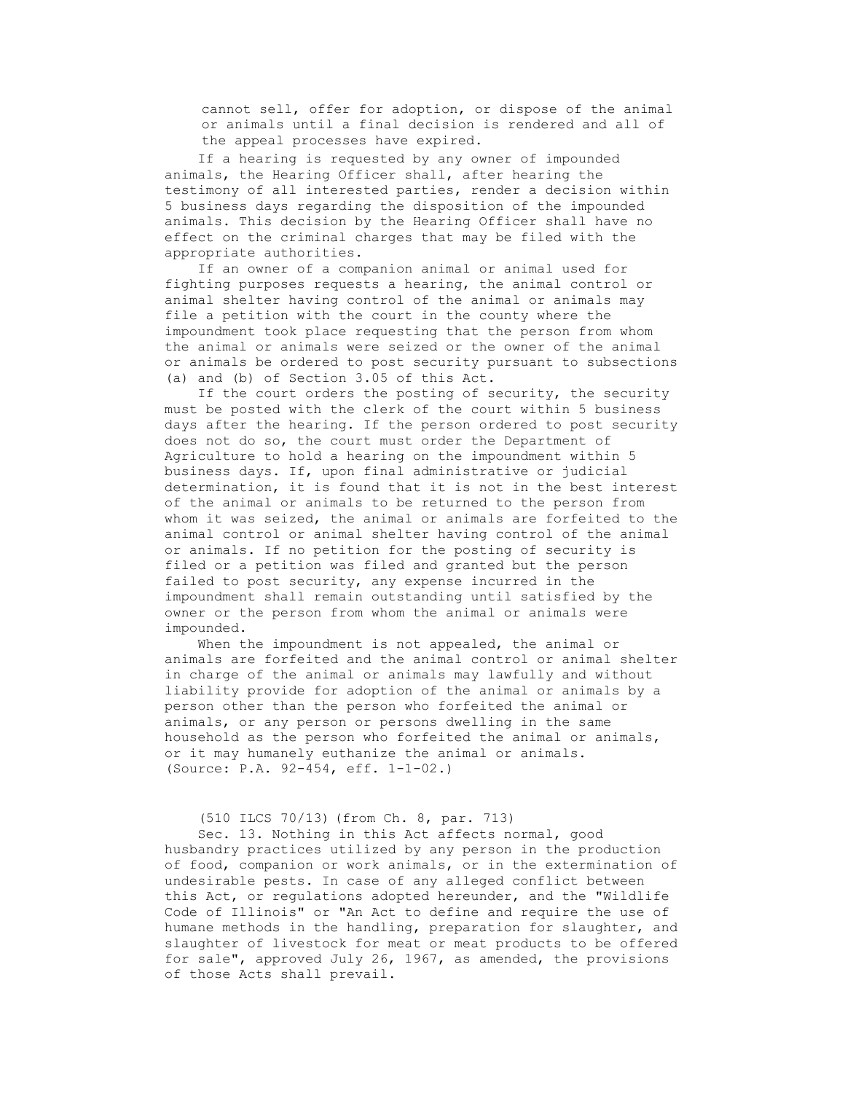cannot sell, offer for adoption, or dispose of the animal or animals until a final decision is rendered and all of the appeal processes have expired.

 If a hearing is requested by any owner of impounded animals, the Hearing Officer shall, after hearing the testimony of all interested parties, render a decision within 5 business days regarding the disposition of the impounded animals. This decision by the Hearing Officer shall have no effect on the criminal charges that may be filed with the appropriate authorities.

 If an owner of a companion animal or animal used for fighting purposes requests a hearing, the animal control or animal shelter having control of the animal or animals may file a petition with the court in the county where the impoundment took place requesting that the person from whom the animal or animals were seized or the owner of the animal or animals be ordered to post security pursuant to subsections (a) and (b) of Section 3.05 of this Act.

 If the court orders the posting of security, the security must be posted with the clerk of the court within 5 business days after the hearing. If the person ordered to post security does not do so, the court must order the Department of Agriculture to hold a hearing on the impoundment within 5 business days. If, upon final administrative or judicial determination, it is found that it is not in the best interest of the animal or animals to be returned to the person from whom it was seized, the animal or animals are forfeited to the animal control or animal shelter having control of the animal or animals. If no petition for the posting of security is filed or a petition was filed and granted but the person failed to post security, any expense incurred in the impoundment shall remain outstanding until satisfied by the owner or the person from whom the animal or animals were impounded.

When the impoundment is not appealed, the animal or animals are forfeited and the animal control or animal shelter in charge of the animal or animals may lawfully and without liability provide for adoption of the animal or animals by a person other than the person who forfeited the animal or animals, or any person or persons dwelling in the same household as the person who forfeited the animal or animals, or it may humanely euthanize the animal or animals. (Source: P.A. 92-454, eff. 1-1-02.)

## (510 ILCS 70/13) (from Ch. 8, par. 713)

 Sec. 13. Nothing in this Act affects normal, good husbandry practices utilized by any person in the production of food, companion or work animals, or in the extermination of undesirable pests. In case of any alleged conflict between this Act, or regulations adopted hereunder, and the "Wildlife Code of Illinois" or "An Act to define and require the use of humane methods in the handling, preparation for slaughter, and slaughter of livestock for meat or meat products to be offered for sale", approved July 26, 1967, as amended, the provisions of those Acts shall prevail.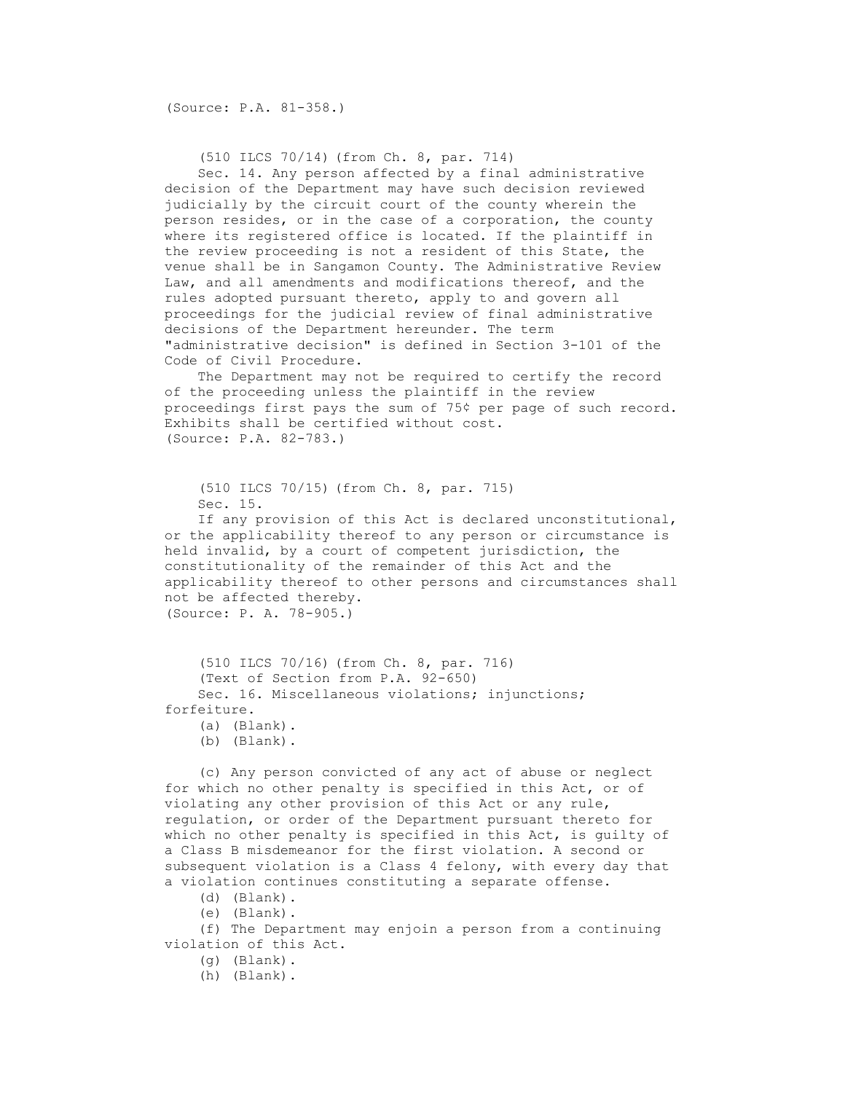(Source: P.A. 81-358.)

 (510 ILCS 70/14) (from Ch. 8, par. 714) Sec. 14. Any person affected by a final administrative decision of the Department may have such decision reviewed judicially by the circuit court of the county wherein the person resides, or in the case of a corporation, the county where its registered office is located. If the plaintiff in the review proceeding is not a resident of this State, the venue shall be in Sangamon County. The Administrative Review Law, and all amendments and modifications thereof, and the rules adopted pursuant thereto, apply to and govern all proceedings for the judicial review of final administrative decisions of the Department hereunder. The term "administrative decision" is defined in Section 3-101 of the Code of Civil Procedure.

 The Department may not be required to certify the record of the proceeding unless the plaintiff in the review proceedings first pays the sum of 75¢ per page of such record. Exhibits shall be certified without cost. (Source: P.A. 82-783.)

```
 (510 ILCS 70/15) (from Ch. 8, par. 715) 
 Sec. 15.
```
 If any provision of this Act is declared unconstitutional, or the applicability thereof to any person or circumstance is held invalid, by a court of competent jurisdiction, the constitutionality of the remainder of this Act and the applicability thereof to other persons and circumstances shall not be affected thereby. (Source: P. A. 78-905.)

```
 (510 ILCS 70/16) (from Ch. 8, par. 716) 
     (Text of Section from P.A. 92-650) 
     Sec. 16. Miscellaneous violations; injunctions;
forfeiture. 
     (a) (Blank).
```
(b) (Blank).

 (c) Any person convicted of any act of abuse or neglect for which no other penalty is specified in this Act, or of violating any other provision of this Act or any rule, regulation, or order of the Department pursuant thereto for which no other penalty is specified in this Act, is guilty of a Class B misdemeanor for the first violation. A second or subsequent violation is a Class 4 felony, with every day that a violation continues constituting a separate offense.

(d) (Blank).

(e) (Blank).

 (f) The Department may enjoin a person from a continuing violation of this Act.

(g) (Blank).

(h) (Blank).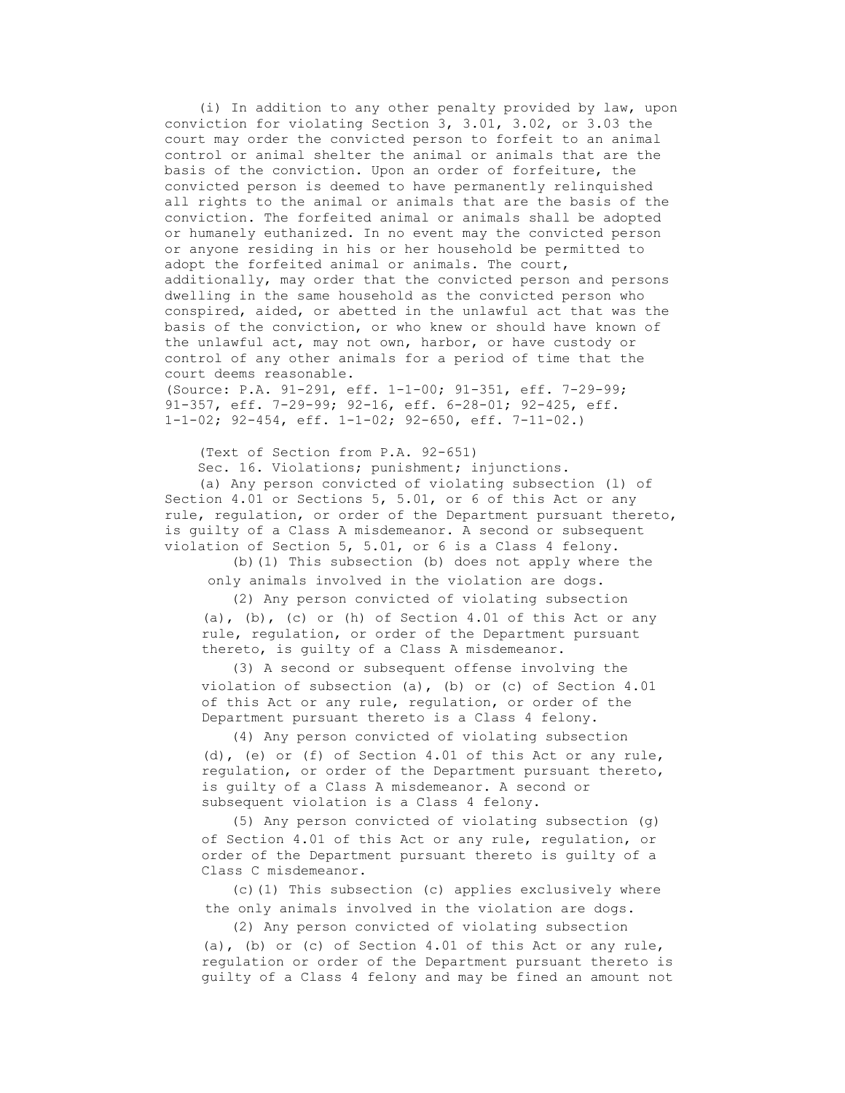(i) In addition to any other penalty provided by law, upon conviction for violating Section 3, 3.01, 3.02, or 3.03 the court may order the convicted person to forfeit to an animal control or animal shelter the animal or animals that are the basis of the conviction. Upon an order of forfeiture, the convicted person is deemed to have permanently relinquished all rights to the animal or animals that are the basis of the conviction. The forfeited animal or animals shall be adopted or humanely euthanized. In no event may the convicted person or anyone residing in his or her household be permitted to adopt the forfeited animal or animals. The court, additionally, may order that the convicted person and persons dwelling in the same household as the convicted person who conspired, aided, or abetted in the unlawful act that was the basis of the conviction, or who knew or should have known of the unlawful act, may not own, harbor, or have custody or control of any other animals for a period of time that the court deems reasonable. (Source: P.A. 91-291, eff. 1-1-00; 91-351, eff. 7-29-99;

91-357, eff. 7-29-99; 92-16, eff. 6-28-01; 92-425, eff. 1-1-02; 92-454, eff. 1-1-02; 92-650, eff. 7-11-02.)

(Text of Section from P.A. 92-651)

 Sec. 16. Violations; punishment; injunctions. (a) Any person convicted of violating subsection (l) of Section 4.01 or Sections 5, 5.01, or 6 of this Act or any rule, regulation, or order of the Department pursuant thereto, is guilty of a Class A misdemeanor. A second or subsequent violation of Section 5, 5.01, or 6 is a Class 4 felony.

 (b)(1) This subsection (b) does not apply where the only animals involved in the violation are dogs.

 (2) Any person convicted of violating subsection (a), (b), (c) or (h) of Section 4.01 of this Act or any rule, regulation, or order of the Department pursuant thereto, is guilty of a Class A misdemeanor.

 (3) A second or subsequent offense involving the violation of subsection (a), (b) or (c) of Section 4.01 of this Act or any rule, regulation, or order of the Department pursuant thereto is a Class 4 felony.

 (4) Any person convicted of violating subsection (d), (e) or (f) of Section 4.01 of this Act or any rule, regulation, or order of the Department pursuant thereto, is guilty of a Class A misdemeanor. A second or subsequent violation is a Class 4 felony.

 (5) Any person convicted of violating subsection (g) of Section 4.01 of this Act or any rule, regulation, or order of the Department pursuant thereto is guilty of a Class C misdemeanor.

 (c)(1) This subsection (c) applies exclusively where the only animals involved in the violation are dogs.

(2) Any person convicted of violating subsection

 (a), (b) or (c) of Section 4.01 of this Act or any rule, regulation or order of the Department pursuant thereto is guilty of a Class 4 felony and may be fined an amount not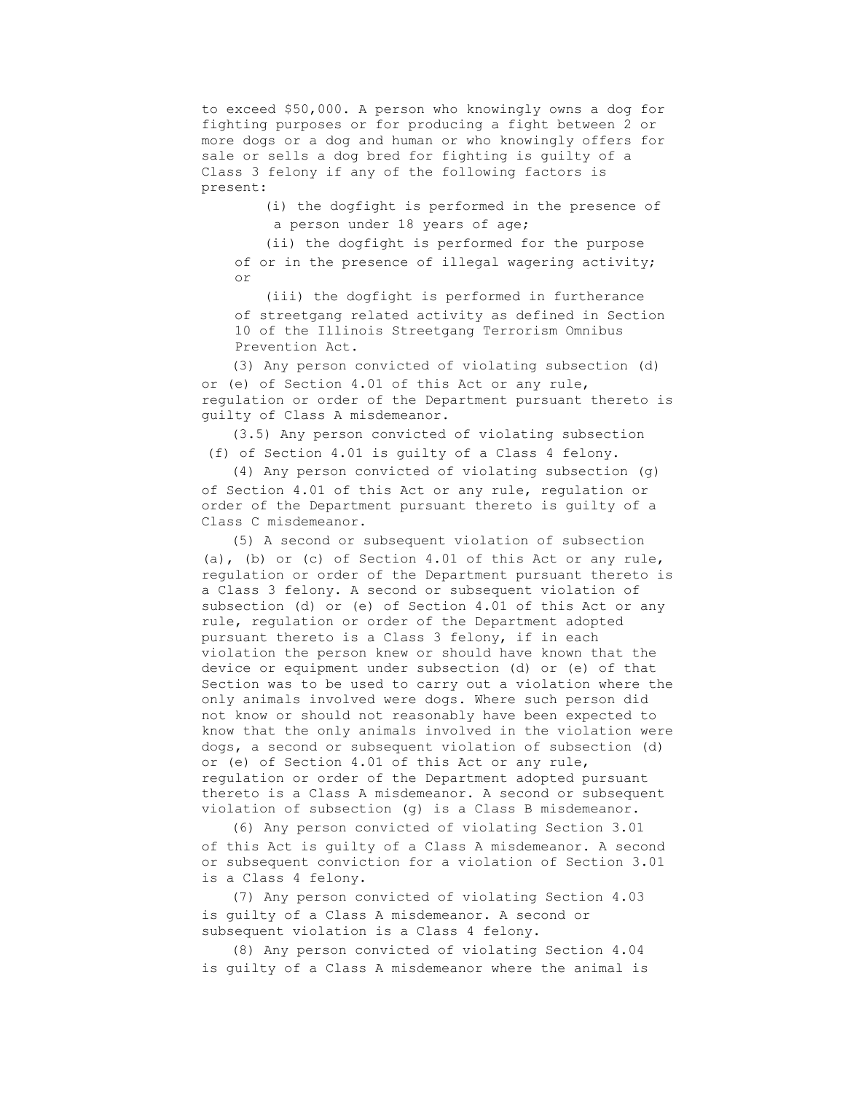to exceed \$50,000. A person who knowingly owns a dog for fighting purposes or for producing a fight between 2 or more dogs or a dog and human or who knowingly offers for sale or sells a dog bred for fighting is guilty of a Class 3 felony if any of the following factors is present:

> (i) the dogfight is performed in the presence of a person under 18 years of age;

 (ii) the dogfight is performed for the purpose of or in the presence of illegal wagering activity; or

 (iii) the dogfight is performed in furtherance of streetgang related activity as defined in Section 10 of the Illinois Streetgang Terrorism Omnibus Prevention Act.

 (3) Any person convicted of violating subsection (d) or (e) of Section 4.01 of this Act or any rule, regulation or order of the Department pursuant thereto is guilty of Class A misdemeanor.

 (3.5) Any person convicted of violating subsection (f) of Section 4.01 is guilty of a Class 4 felony.

 (4) Any person convicted of violating subsection (g) of Section 4.01 of this Act or any rule, regulation or order of the Department pursuant thereto is guilty of a Class C misdemeanor.

 (5) A second or subsequent violation of subsection (a), (b) or (c) of Section 4.01 of this Act or any rule, regulation or order of the Department pursuant thereto is a Class 3 felony. A second or subsequent violation of subsection (d) or (e) of Section 4.01 of this Act or any rule, regulation or order of the Department adopted pursuant thereto is a Class 3 felony, if in each violation the person knew or should have known that the device or equipment under subsection (d) or (e) of that Section was to be used to carry out a violation where the only animals involved were dogs. Where such person did not know or should not reasonably have been expected to know that the only animals involved in the violation were dogs, a second or subsequent violation of subsection (d) or (e) of Section 4.01 of this Act or any rule, regulation or order of the Department adopted pursuant thereto is a Class A misdemeanor. A second or subsequent violation of subsection (g) is a Class B misdemeanor.

 (6) Any person convicted of violating Section 3.01 of this Act is guilty of a Class A misdemeanor. A second or subsequent conviction for a violation of Section 3.01 is a Class 4 felony.

 (7) Any person convicted of violating Section 4.03 is guilty of a Class A misdemeanor. A second or subsequent violation is a Class 4 felony.

 (8) Any person convicted of violating Section 4.04 is guilty of a Class A misdemeanor where the animal is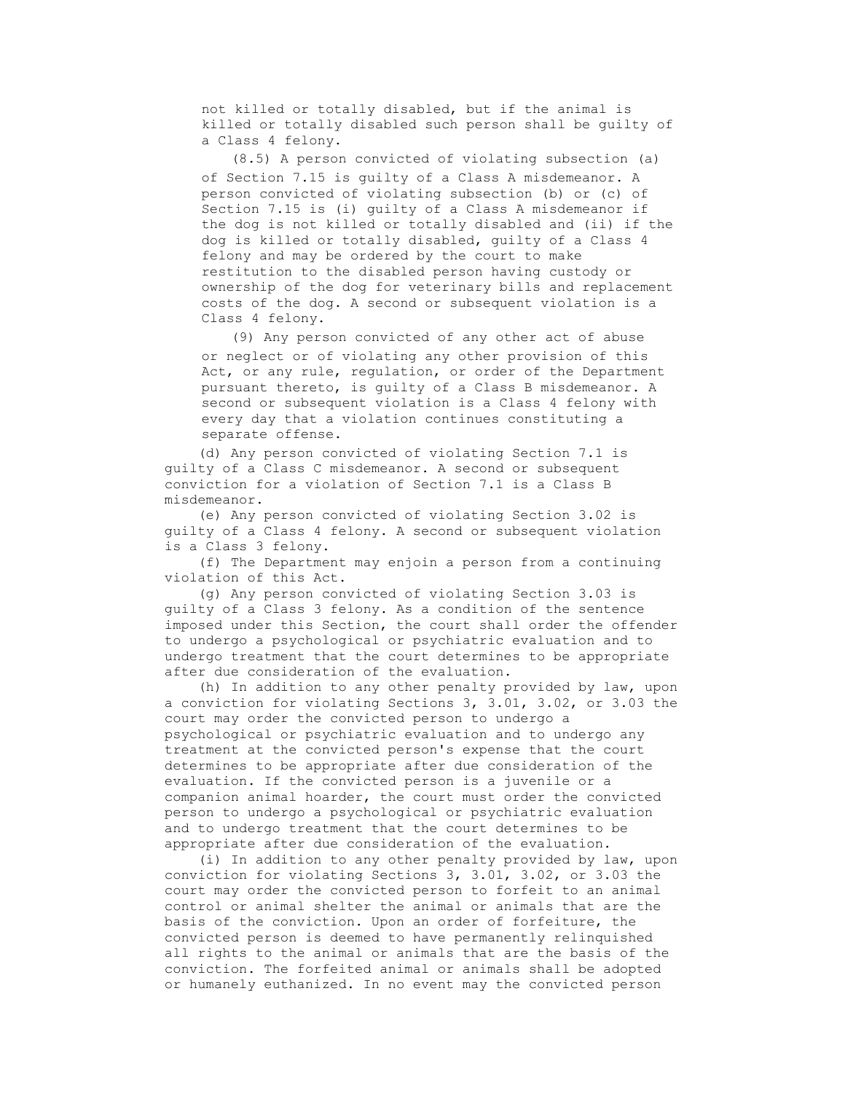not killed or totally disabled, but if the animal is killed or totally disabled such person shall be guilty of a Class 4 felony.

 (8.5) A person convicted of violating subsection (a) of Section 7.15 is guilty of a Class A misdemeanor. A person convicted of violating subsection (b) or (c) of Section 7.15 is (i) guilty of a Class A misdemeanor if the dog is not killed or totally disabled and (ii) if the dog is killed or totally disabled, guilty of a Class 4 felony and may be ordered by the court to make restitution to the disabled person having custody or ownership of the dog for veterinary bills and replacement costs of the dog. A second or subsequent violation is a Class 4 felony.

 (9) Any person convicted of any other act of abuse or neglect or of violating any other provision of this Act, or any rule, regulation, or order of the Department pursuant thereto, is guilty of a Class B misdemeanor. A second or subsequent violation is a Class 4 felony with every day that a violation continues constituting a separate offense.

 (d) Any person convicted of violating Section 7.1 is guilty of a Class C misdemeanor. A second or subsequent conviction for a violation of Section 7.1 is a Class B misdemeanor.

 (e) Any person convicted of violating Section 3.02 is guilty of a Class 4 felony. A second or subsequent violation is a Class 3 felony.

 (f) The Department may enjoin a person from a continuing violation of this Act.

 (g) Any person convicted of violating Section 3.03 is guilty of a Class 3 felony. As a condition of the sentence imposed under this Section, the court shall order the offender to undergo a psychological or psychiatric evaluation and to undergo treatment that the court determines to be appropriate after due consideration of the evaluation.

 (h) In addition to any other penalty provided by law, upon a conviction for violating Sections 3, 3.01, 3.02, or 3.03 the court may order the convicted person to undergo a psychological or psychiatric evaluation and to undergo any treatment at the convicted person's expense that the court determines to be appropriate after due consideration of the evaluation. If the convicted person is a juvenile or a companion animal hoarder, the court must order the convicted person to undergo a psychological or psychiatric evaluation and to undergo treatment that the court determines to be appropriate after due consideration of the evaluation.

 (i) In addition to any other penalty provided by law, upon conviction for violating Sections 3, 3.01, 3.02, or 3.03 the court may order the convicted person to forfeit to an animal control or animal shelter the animal or animals that are the basis of the conviction. Upon an order of forfeiture, the convicted person is deemed to have permanently relinquished all rights to the animal or animals that are the basis of the conviction. The forfeited animal or animals shall be adopted or humanely euthanized. In no event may the convicted person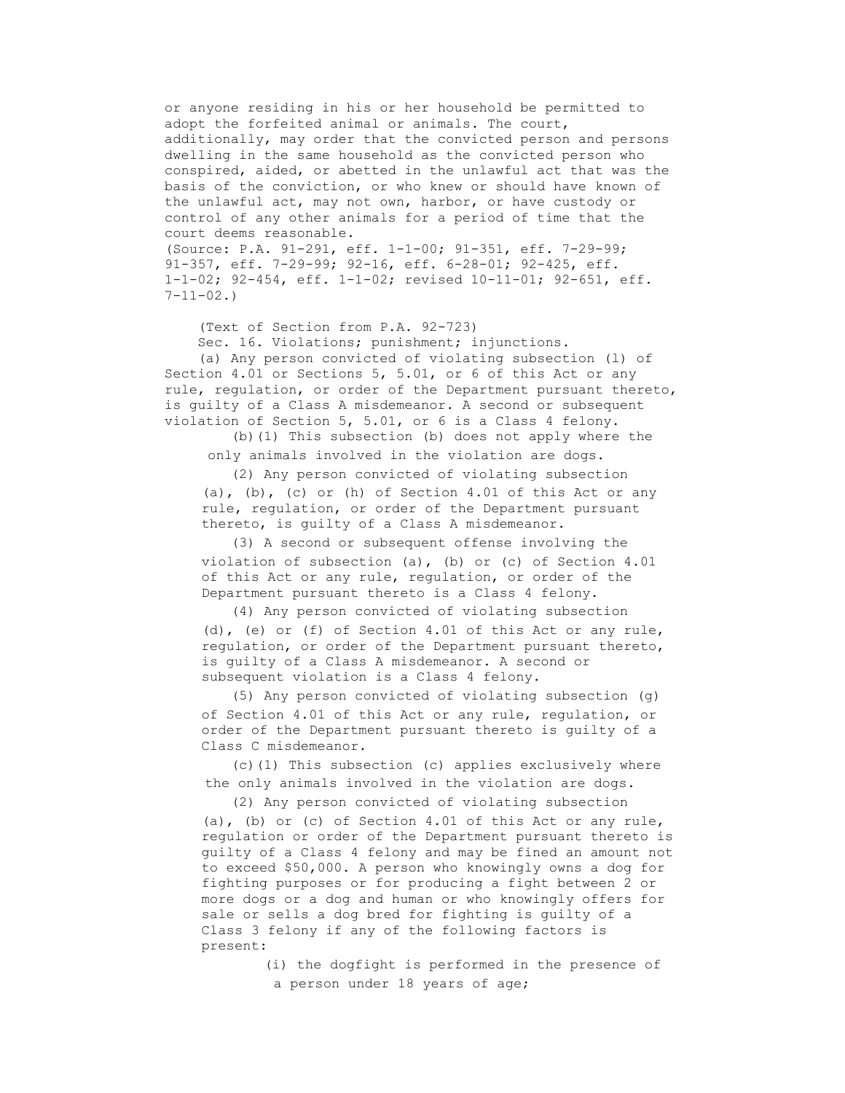or anyone residing in his or her household be permitted to adopt the forfeited animal or animals. The court, additionally, may order that the convicted person and persons dwelling in the same household as the convicted person who conspired, aided, or abetted in the unlawful act that was the basis of the conviction, or who knew or should have known of the unlawful act, may not own, harbor, or have custody or control of any other animals for a period of time that the court deems reasonable. (Source: P.A. 91-291, eff. 1-1-00; 91-351, eff. 7-29-99;

91-357, eff. 7-29-99; 92-16, eff. 6-28-01; 92-425, eff. 1-1-02; 92-454, eff. 1-1-02; revised 10-11-01; 92-651, eff.  $7 - 11 - 02.$ 

(Text of Section from P.A. 92-723)

Sec. 16. Violations; punishment; injunctions.

 (a) Any person convicted of violating subsection (l) of Section 4.01 or Sections 5, 5.01, or 6 of this Act or any rule, regulation, or order of the Department pursuant thereto, is guilty of a Class A misdemeanor. A second or subsequent violation of Section 5, 5.01, or 6 is a Class 4 felony.

 (b)(1) This subsection (b) does not apply where the only animals involved in the violation are dogs.

 (2) Any person convicted of violating subsection (a), (b), (c) or (h) of Section 4.01 of this Act or any rule, regulation, or order of the Department pursuant thereto, is guilty of a Class A misdemeanor.

 (3) A second or subsequent offense involving the violation of subsection (a), (b) or (c) of Section 4.01 of this Act or any rule, regulation, or order of the Department pursuant thereto is a Class 4 felony.

 (4) Any person convicted of violating subsection (d), (e) or (f) of Section 4.01 of this Act or any rule, regulation, or order of the Department pursuant thereto, is guilty of a Class A misdemeanor. A second or subsequent violation is a Class 4 felony.

 (5) Any person convicted of violating subsection (g) of Section 4.01 of this Act or any rule, regulation, or order of the Department pursuant thereto is guilty of a Class C misdemeanor.

 (c)(1) This subsection (c) applies exclusively where the only animals involved in the violation are dogs.

 (2) Any person convicted of violating subsection (a), (b) or (c) of Section 4.01 of this Act or any rule, regulation or order of the Department pursuant thereto is guilty of a Class 4 felony and may be fined an amount not to exceed \$50,000. A person who knowingly owns a dog for fighting purposes or for producing a fight between 2 or more dogs or a dog and human or who knowingly offers for sale or sells a dog bred for fighting is guilty of a Class 3 felony if any of the following factors is present:

> (i) the dogfight is performed in the presence of a person under 18 years of age;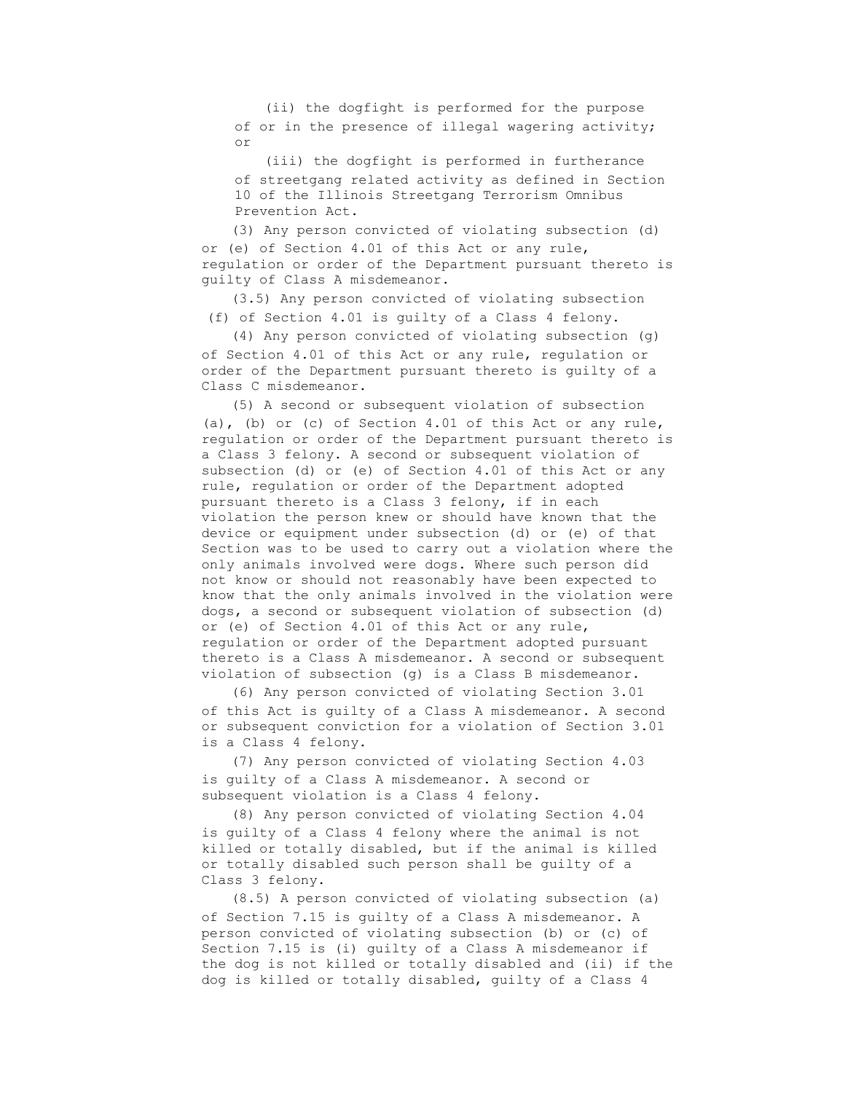(ii) the dogfight is performed for the purpose of or in the presence of illegal wagering activity; or

 (iii) the dogfight is performed in furtherance of streetgang related activity as defined in Section 10 of the Illinois Streetgang Terrorism Omnibus Prevention Act.

 (3) Any person convicted of violating subsection (d) or (e) of Section 4.01 of this Act or any rule, regulation or order of the Department pursuant thereto is guilty of Class A misdemeanor.

 (3.5) Any person convicted of violating subsection (f) of Section 4.01 is guilty of a Class 4 felony.

 (4) Any person convicted of violating subsection (g) of Section 4.01 of this Act or any rule, regulation or order of the Department pursuant thereto is guilty of a Class C misdemeanor.

 (5) A second or subsequent violation of subsection (a), (b) or (c) of Section 4.01 of this Act or any rule, regulation or order of the Department pursuant thereto is a Class 3 felony. A second or subsequent violation of subsection (d) or (e) of Section 4.01 of this Act or any rule, regulation or order of the Department adopted pursuant thereto is a Class 3 felony, if in each violation the person knew or should have known that the device or equipment under subsection (d) or (e) of that Section was to be used to carry out a violation where the only animals involved were dogs. Where such person did not know or should not reasonably have been expected to know that the only animals involved in the violation were dogs, a second or subsequent violation of subsection (d) or (e) of Section 4.01 of this Act or any rule, regulation or order of the Department adopted pursuant thereto is a Class A misdemeanor. A second or subsequent violation of subsection (g) is a Class B misdemeanor.

 (6) Any person convicted of violating Section 3.01 of this Act is guilty of a Class A misdemeanor. A second or subsequent conviction for a violation of Section 3.01 is a Class 4 felony.

 (7) Any person convicted of violating Section 4.03 is guilty of a Class A misdemeanor. A second or subsequent violation is a Class 4 felony.

 (8) Any person convicted of violating Section 4.04 is guilty of a Class 4 felony where the animal is not killed or totally disabled, but if the animal is killed or totally disabled such person shall be guilty of a Class 3 felony.

 (8.5) A person convicted of violating subsection (a) of Section 7.15 is guilty of a Class A misdemeanor. A person convicted of violating subsection (b) or (c) of Section 7.15 is (i) guilty of a Class A misdemeanor if the dog is not killed or totally disabled and (ii) if the dog is killed or totally disabled, guilty of a Class 4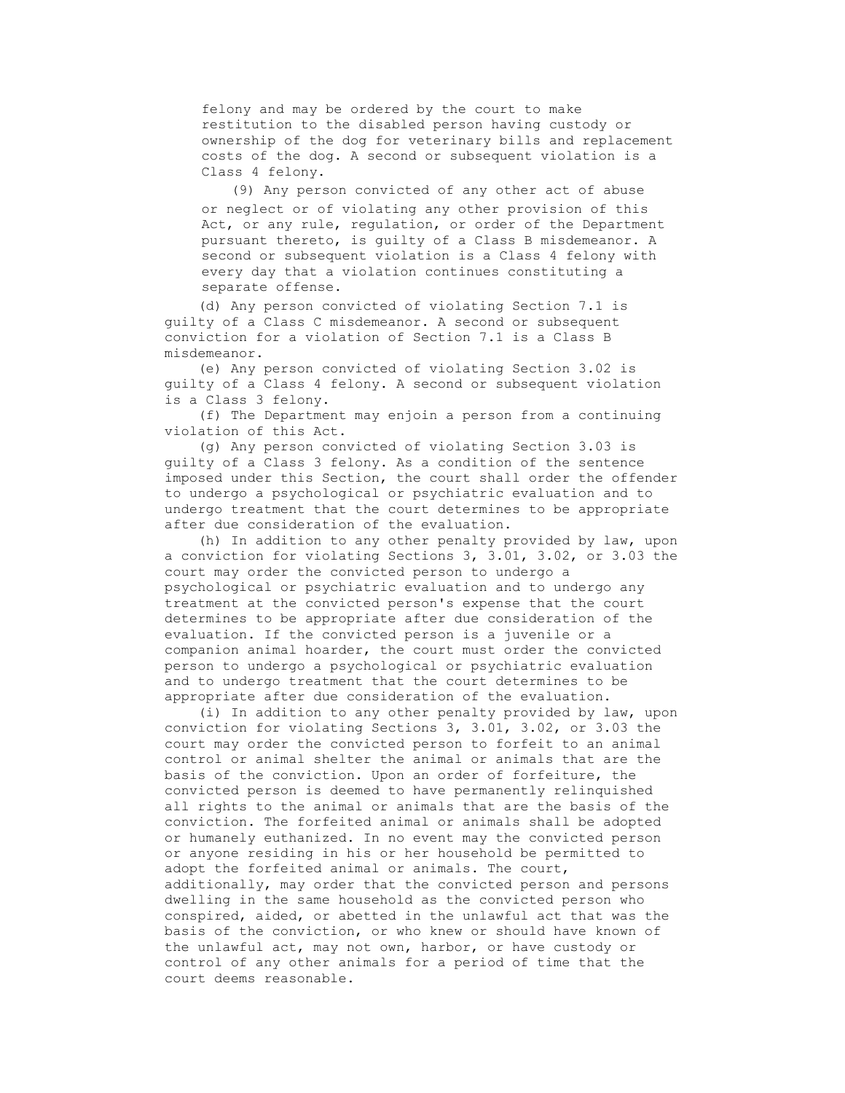felony and may be ordered by the court to make restitution to the disabled person having custody or ownership of the dog for veterinary bills and replacement costs of the dog. A second or subsequent violation is a Class 4 felony.

 (9) Any person convicted of any other act of abuse or neglect or of violating any other provision of this Act, or any rule, regulation, or order of the Department pursuant thereto, is guilty of a Class B misdemeanor. A second or subsequent violation is a Class 4 felony with every day that a violation continues constituting a separate offense.

 (d) Any person convicted of violating Section 7.1 is guilty of a Class C misdemeanor. A second or subsequent conviction for a violation of Section 7.1 is a Class B misdemeanor.

 (e) Any person convicted of violating Section 3.02 is guilty of a Class 4 felony. A second or subsequent violation is a Class 3 felony.

 (f) The Department may enjoin a person from a continuing violation of this Act.

 (g) Any person convicted of violating Section 3.03 is guilty of a Class 3 felony. As a condition of the sentence imposed under this Section, the court shall order the offender to undergo a psychological or psychiatric evaluation and to undergo treatment that the court determines to be appropriate after due consideration of the evaluation.

 (h) In addition to any other penalty provided by law, upon a conviction for violating Sections 3, 3.01, 3.02, or 3.03 the court may order the convicted person to undergo a psychological or psychiatric evaluation and to undergo any treatment at the convicted person's expense that the court determines to be appropriate after due consideration of the evaluation. If the convicted person is a juvenile or a companion animal hoarder, the court must order the convicted person to undergo a psychological or psychiatric evaluation and to undergo treatment that the court determines to be appropriate after due consideration of the evaluation.

 (i) In addition to any other penalty provided by law, upon conviction for violating Sections 3, 3.01, 3.02, or 3.03 the court may order the convicted person to forfeit to an animal control or animal shelter the animal or animals that are the basis of the conviction. Upon an order of forfeiture, the convicted person is deemed to have permanently relinquished all rights to the animal or animals that are the basis of the conviction. The forfeited animal or animals shall be adopted or humanely euthanized. In no event may the convicted person or anyone residing in his or her household be permitted to adopt the forfeited animal or animals. The court, additionally, may order that the convicted person and persons dwelling in the same household as the convicted person who conspired, aided, or abetted in the unlawful act that was the basis of the conviction, or who knew or should have known of the unlawful act, may not own, harbor, or have custody or control of any other animals for a period of time that the court deems reasonable.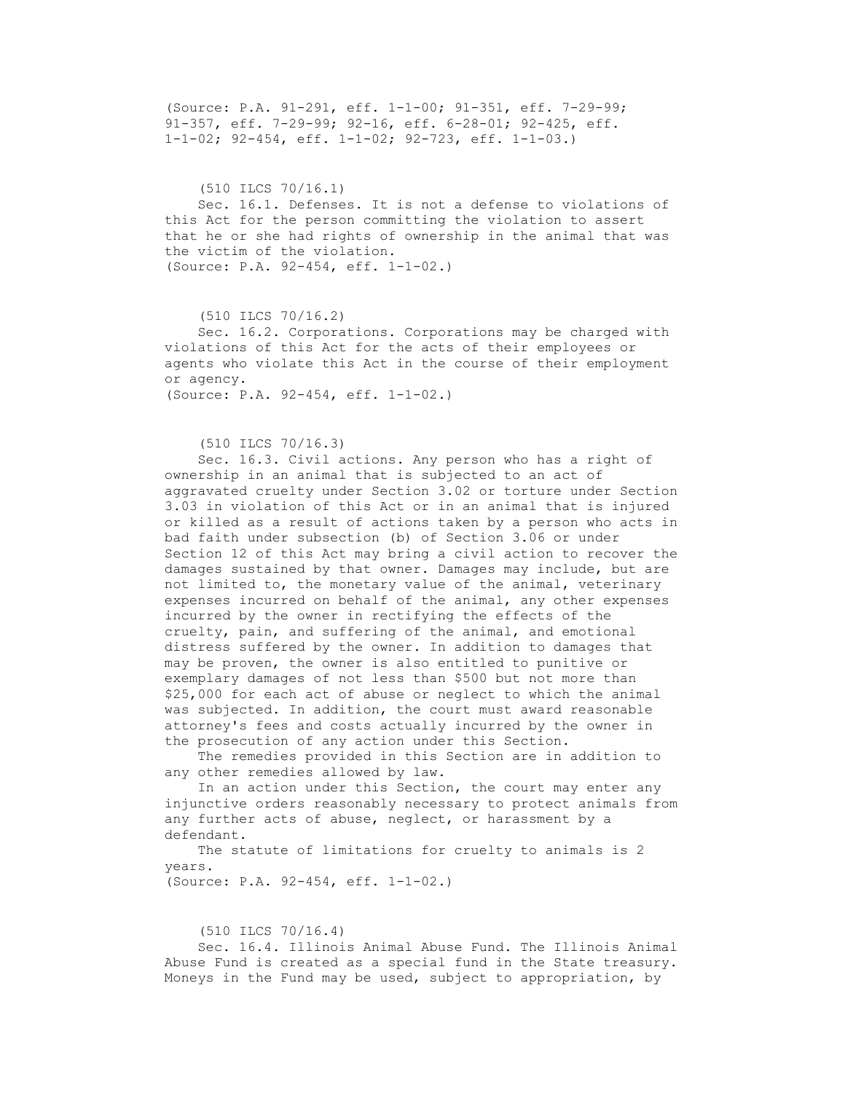(Source: P.A. 91-291, eff. 1-1-00; 91-351, eff. 7-29-99; 91-357, eff. 7-29-99; 92-16, eff. 6-28-01; 92-425, eff. 1-1-02; 92-454, eff. 1-1-02; 92-723, eff. 1-1-03.)

 (510 ILCS 70/16.1) Sec. 16.1. Defenses. It is not a defense to violations of this Act for the person committing the violation to assert that he or she had rights of ownership in the animal that was the victim of the violation. (Source: P.A. 92-454, eff. 1-1-02.)

 (510 ILCS 70/16.2) Sec. 16.2. Corporations. Corporations may be charged with violations of this Act for the acts of their employees or agents who violate this Act in the course of their employment or agency. (Source: P.A. 92-454, eff. 1-1-02.)

(510 ILCS 70/16.3)

 Sec. 16.3. Civil actions. Any person who has a right of ownership in an animal that is subjected to an act of aggravated cruelty under Section 3.02 or torture under Section 3.03 in violation of this Act or in an animal that is injured or killed as a result of actions taken by a person who acts in bad faith under subsection (b) of Section 3.06 or under Section 12 of this Act may bring a civil action to recover the damages sustained by that owner. Damages may include, but are not limited to, the monetary value of the animal, veterinary expenses incurred on behalf of the animal, any other expenses incurred by the owner in rectifying the effects of the cruelty, pain, and suffering of the animal, and emotional distress suffered by the owner. In addition to damages that may be proven, the owner is also entitled to punitive or exemplary damages of not less than \$500 but not more than \$25,000 for each act of abuse or neglect to which the animal was subjected. In addition, the court must award reasonable attorney's fees and costs actually incurred by the owner in the prosecution of any action under this Section.

 The remedies provided in this Section are in addition to any other remedies allowed by law.

 In an action under this Section, the court may enter any injunctive orders reasonably necessary to protect animals from any further acts of abuse, neglect, or harassment by a defendant.

The statute of limitations for cruelty to animals is 2 years. (Source: P.A. 92-454, eff. 1-1-02.)

(510 ILCS 70/16.4)

 Sec. 16.4. Illinois Animal Abuse Fund. The Illinois Animal Abuse Fund is created as a special fund in the State treasury. Moneys in the Fund may be used, subject to appropriation, by